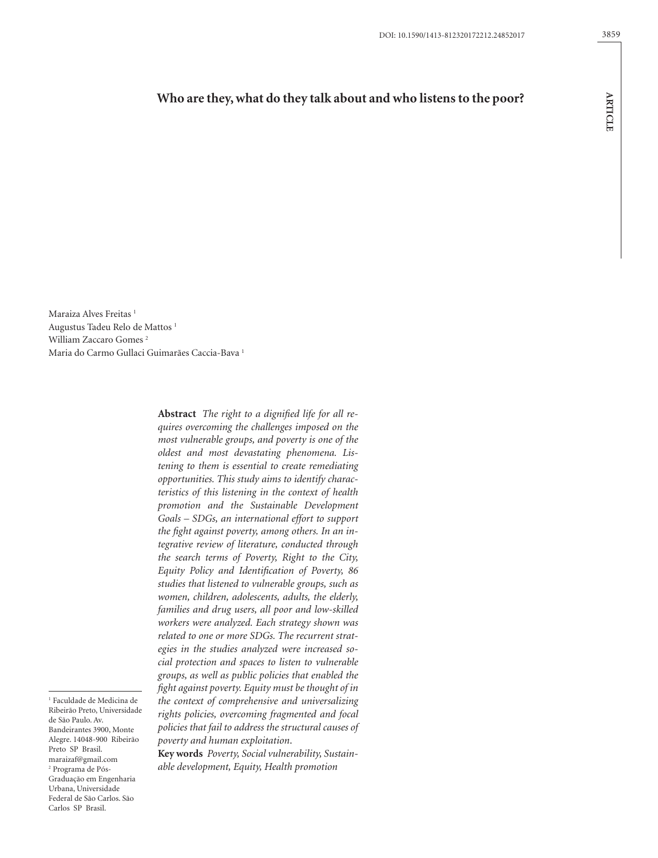# **Who are they, what do they talk about and who listens to the poor?**

Maraiza Alves Freitas<sup>1</sup> Augustus Tadeu Relo de Mattos 1 William Zaccaro Gomes 2 Maria do Carmo Gullaci Guimarães Caccia-Bava 1

> **Abstract** *The right to a dignified life for all requires overcoming the challenges imposed on the most vulnerable groups, and poverty is one of the oldest and most devastating phenomena. Listening to them is essential to create remediating opportunities. This study aims to identify characteristics of this listening in the context of health promotion and the Sustainable Development Goals – SDGs, an international effort to support the fight against poverty, among others. In an integrative review of literature, conducted through the search terms of Poverty, Right to the City, Equity Policy and Identification of Poverty, 86 studies that listened to vulnerable groups, such as women, children, adolescents, adults, the elderly, families and drug users, all poor and low-skilled workers were analyzed. Each strategy shown was related to one or more SDGs. The recurrent strategies in the studies analyzed were increased social protection and spaces to listen to vulnerable groups, as well as public policies that enabled the fight against poverty. Equity must be thought of in the context of comprehensive and universalizing rights policies, overcoming fragmented and focal policies that fail to address the structural causes of poverty and human exploitation*.

**Key words** *Poverty, Social vulnerability, Sustainable development, Equity, Health promotion*

1 Faculdade de Medicina de Ribeirão Preto, Universidade de São Paulo. Av. Bandeirantes 3900, Monte Alegre. 14048-900 Ribeirão Preto SP Brasil. maraizaf@gmail.com 2 Programa de Pós-Graduação em Engenharia Urbana, Universidade Federal de São Carlos. São Carlos SP Brasil.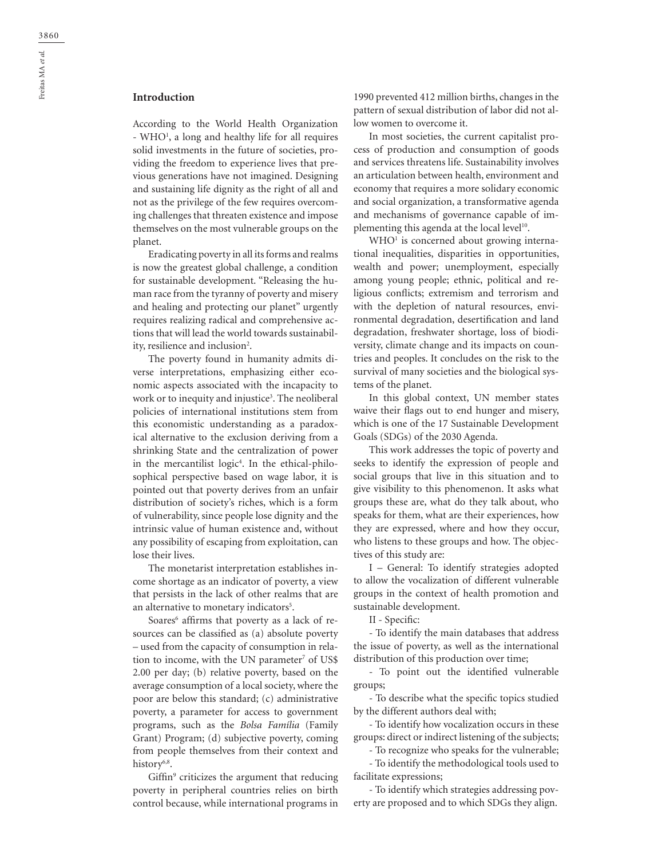# **Introduction**

According to the World Health Organization - WHO<sup>1</sup>, a long and healthy life for all requires solid investments in the future of societies, providing the freedom to experience lives that previous generations have not imagined. Designing and sustaining life dignity as the right of all and not as the privilege of the few requires overcoming challenges that threaten existence and impose themselves on the most vulnerable groups on the planet.

Eradicating poverty in all its forms and realms is now the greatest global challenge, a condition for sustainable development. "Releasing the human race from the tyranny of poverty and misery and healing and protecting our planet" urgently requires realizing radical and comprehensive actions that will lead the world towards sustainability, resilience and inclusion<sup>2</sup>.

The poverty found in humanity admits diverse interpretations, emphasizing either economic aspects associated with the incapacity to work or to inequity and injustice<sup>3</sup>. The neoliberal policies of international institutions stem from this economistic understanding as a paradoxical alternative to the exclusion deriving from a shrinking State and the centralization of power in the mercantilist logic4 . In the ethical-philosophical perspective based on wage labor, it is pointed out that poverty derives from an unfair distribution of society's riches, which is a form of vulnerability, since people lose dignity and the intrinsic value of human existence and, without any possibility of escaping from exploitation, can lose their lives.

The monetarist interpretation establishes income shortage as an indicator of poverty, a view that persists in the lack of other realms that are an alternative to monetary indicators<sup>5</sup>.

Soares<sup>6</sup> affirms that poverty as a lack of resources can be classified as (a) absolute poverty – used from the capacity of consumption in relation to income, with the UN parameter<sup>7</sup> of US\$ 2.00 per day; (b) relative poverty, based on the average consumption of a local society, where the poor are below this standard; (c) administrative poverty, a parameter for access to government programs, such as the *Bolsa Família* (Family Grant) Program; (d) subjective poverty, coming from people themselves from their context and history<sup>6,8</sup>.

Giffin<sup>9</sup> criticizes the argument that reducing poverty in peripheral countries relies on birth control because, while international programs in

1990 prevented 412 million births, changes in the pattern of sexual distribution of labor did not allow women to overcome it.

In most societies, the current capitalist process of production and consumption of goods and services threatens life. Sustainability involves an articulation between health, environment and economy that requires a more solidary economic and social organization, a transformative agenda and mechanisms of governance capable of implementing this agenda at the local level<sup>10</sup>.

WHO1 is concerned about growing international inequalities, disparities in opportunities, wealth and power; unemployment, especially among young people; ethnic, political and religious conflicts; extremism and terrorism and with the depletion of natural resources, environmental degradation, desertification and land degradation, freshwater shortage, loss of biodiversity, climate change and its impacts on countries and peoples. It concludes on the risk to the survival of many societies and the biological systems of the planet.

In this global context, UN member states waive their flags out to end hunger and misery, which is one of the 17 Sustainable Development Goals (SDGs) of the 2030 Agenda.

This work addresses the topic of poverty and seeks to identify the expression of people and social groups that live in this situation and to give visibility to this phenomenon. It asks what groups these are, what do they talk about, who speaks for them, what are their experiences, how they are expressed, where and how they occur, who listens to these groups and how. The objectives of this study are:

I – General: To identify strategies adopted to allow the vocalization of different vulnerable groups in the context of health promotion and sustainable development.

II - Specific:

- To identify the main databases that address the issue of poverty, as well as the international distribution of this production over time;

- To point out the identified vulnerable groups;

- To describe what the specific topics studied by the different authors deal with;

- To identify how vocalization occurs in these groups: direct or indirect listening of the subjects;

- To recognize who speaks for the vulnerable; - To identify the methodological tools used to

facilitate expressions;

- To identify which strategies addressing poverty are proposed and to which SDGs they align.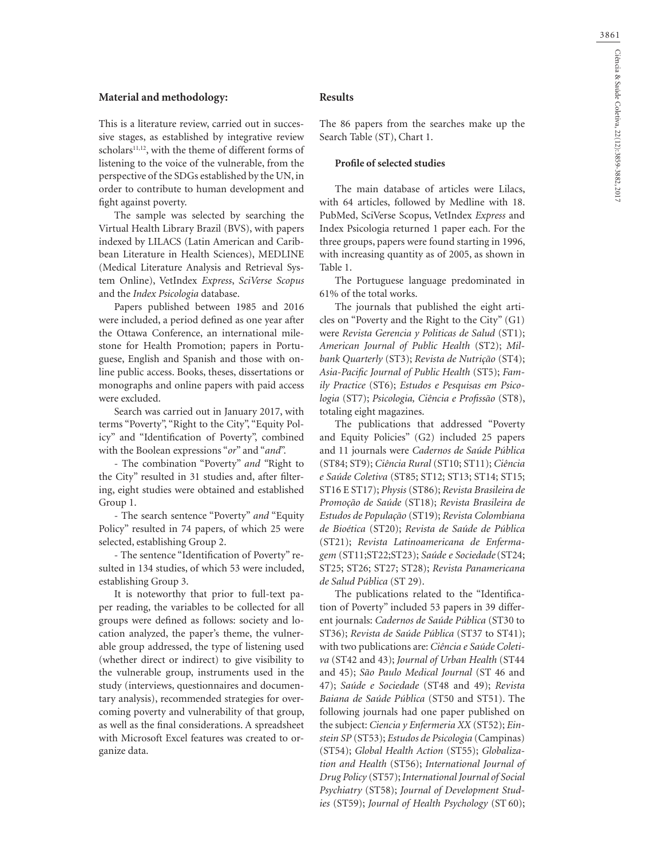### **Material and methodology:**

This is a literature review, carried out in successive stages, as established by integrative review scholars<sup>11,12</sup>, with the theme of different forms of listening to the voice of the vulnerable, from the perspective of the SDGs established by the UN, in order to contribute to human development and fight against poverty.

The sample was selected by searching the Virtual Health Library Brazil (BVS), with papers indexed by LILACS (Latin American and Caribbean Literature in Health Sciences), MEDLINE (Medical Literature Analysis and Retrieval System Online), VetIndex *Express*, *SciVerse Scopus* and the *Index Psicologia* database.

Papers published between 1985 and 2016 were included, a period defined as one year after the Ottawa Conference, an international milestone for Health Promotion; papers in Portuguese, English and Spanish and those with online public access. Books, theses, dissertations or monographs and online papers with paid access were excluded.

Search was carried out in January 2017, with terms "Poverty", "Right to the City", "Equity Policy" and "Identification of Poverty", combined with the Boolean expressions "*or*" and "*and*".

- The combination "Poverty" *and "*Right to the City" resulted in 31 studies and, after filtering, eight studies were obtained and established Group 1.

- The search sentence "Poverty" *and* "Equity Policy" resulted in 74 papers, of which 25 were selected, establishing Group 2.

- The sentence "Identification of Poverty" resulted in 134 studies, of which 53 were included, establishing Group 3.

It is noteworthy that prior to full-text paper reading, the variables to be collected for all groups were defined as follows: society and location analyzed, the paper's theme, the vulnerable group addressed, the type of listening used (whether direct or indirect) to give visibility to the vulnerable group, instruments used in the study (interviews, questionnaires and documentary analysis), recommended strategies for overcoming poverty and vulnerability of that group, as well as the final considerations. A spreadsheet with Microsoft Excel features was created to organize data.

## **Results**

The 86 papers from the searches make up the Search Table (ST), Chart 1.

#### **Profile of selected studies**

The main database of articles were Lilacs, with 64 articles, followed by Medline with 18. PubMed, SciVerse Scopus, VetIndex *Express* and Index Psicologia returned 1 paper each. For the three groups, papers were found starting in 1996, with increasing quantity as of 2005, as shown in Table 1.

The Portuguese language predominated in 61% of the total works.

The journals that published the eight articles on "Poverty and the Right to the City" (G1) were *Revista Gerencia y Politicas de Salud* (ST1); *American Journal of Public Health* (ST2); *Milbank Quarterly* (ST3); *Revista de Nutrição* (ST4); *Asia-Pacific Journal of Public Health* (ST5); *Family Practice* (ST6); *Estudos e Pesquisas em Psicologia* (ST7); *Psicologia, Ciência e Profissão* (ST8), totaling eight magazines.

The publications that addressed "Poverty and Equity Policies" (G2) included 25 papers and 11 journals were *Cadernos de Saúde Pública* (ST84; ST9); *Ciência Rural* (ST10; ST11); *Ciência e Saúde Coletiva* (ST85; ST12; ST13; ST14; ST15; ST16 E ST17); *Physis* (ST86); *Revista Brasileira de Promoção de Saúde* (ST18); *Revista Brasileira de Estudos de População* (ST19); *Revista Colombiana de Bioética* (ST20); *Revista de Saúde de Pública* (ST21); *Revista Latinoamericana de Enfermagem* (ST11;ST22;ST23); *Saúde e Sociedade*(ST24; ST25; ST26; ST27; ST28); *Revista Panamericana de Salud Pública* (ST 29).

The publications related to the "Identification of Poverty" included 53 papers in 39 different journals: *Cadernos de Saúde Pública* (ST30 to ST36); *Revista de Saúde Pública* (ST37 to ST41); with two publications are: *Ciência e Saúde Coletiva* (ST42 and 43); *Journal of Urban Health* (ST44 and 45); *São Paulo Medical Journal* (ST 46 and 47); *Saúde e Sociedade* (ST48 and 49); *Revista Baiana de Saúde Pública* (ST50 and ST51). The following journals had one paper published on the subject: *Ciencia y Enfermeria XX* (ST52); *Einstein SP* (ST53); *Estudos de Psicologia* (Campinas) (ST54); *Global Health Action* (ST55); *Globalization and Health* (ST56); *International Journal of Drug Policy* (ST57); *International Journal of Social Psychiatry* (ST58); *Journal of Development Studies* (ST59); *Journal of Health Psychology* (ST 60);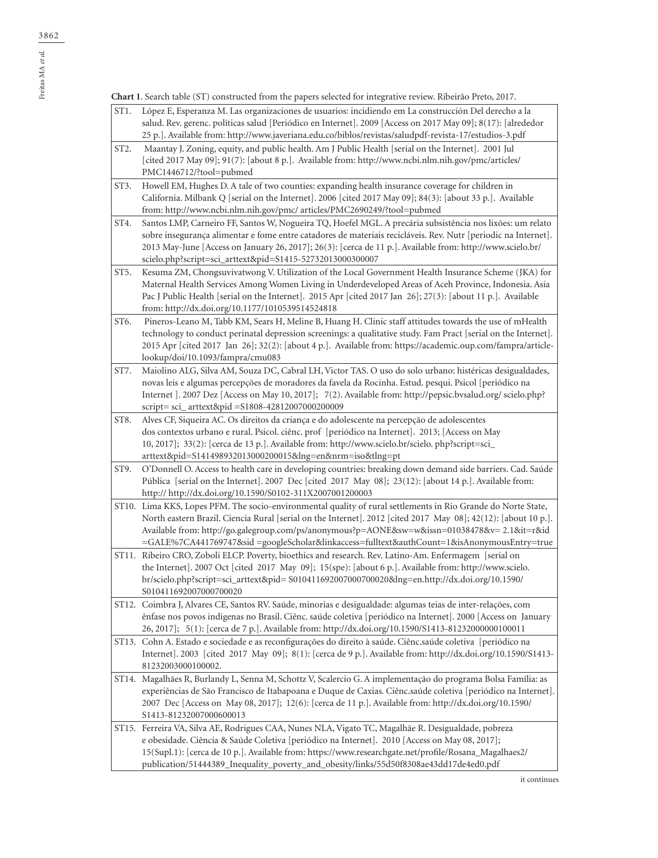# **Chart 1**. Search table (ST) constructed from the papers selected for integrative review. Ribeirão Preto, 2017. ST1. López E, Esperanza M. Las organizaciones de usuarios: incidiendo em La construcción Del derecho a la

- salud. Rev. gerenc. políticas salud [Periódico en Internet]. 2009 [Access on 2017 May 09]; 8(17): [alrededor 25 p.]. Available from: http://www.javeriana.edu.co/biblos/revistas/saludpdf-revista-17/estudios-3.pdf ST2. Maantay J. Zoning, equity, and public health. Am J Public Health [serial on the Internet]. 2001 Jul [cited 2017 May 09]; 91(7): [about 8 p.]. Available from: http://www.ncbi.nlm.nih.gov/pmc/articles/ PMC1446712/?tool=pubmed
- ST3. Howell EM, Hughes D. A tale of two counties: expanding health insurance coverage for children in California. Milbank Q [serial on the Internet]. 2006 [cited 2017 May 09]; 84(3): [about 33 p.]. Available from: http://www.ncbi.nlm.nih.gov/pmc/ articles/PMC2690249/?tool=pubmed
- ST4. Santos LMP, Carneiro FF, Santos W, Nogueira TQ, Hoefel MGL. A precária subsistência nos lixões: um relato sobre insegurança alimentar e fome entre catadores de materiais recicláveis. Rev. Nutr [periodic na Internet]. 2013 May-June [Access on January 26, 2017]; 26(3): [cerca de 11 p.]. Available from: http://www.scielo.br/ scielo.php?script=sci\_arttext&pid=S1415-52732013000300007
- ST5. Kesuma ZM, Chongsuvivatwong V. Utilization of the Local Government Health Insurance Scheme (JKA) for Maternal Health Services Among Women Living in Underdeveloped Areas of Aceh Province, Indonesia. Asia Pac J Public Health [serial on the Internet]. 2015 Apr [cited 2017 Jan 26]; 27(3): [about 11 p.]. Available from: http://dx.doi.org/10.1177/1010539514524818
- ST6. Pineros-Leano M, Tabb KM, Sears H, Meline B, Huang H. Clinic staff attitudes towards the use of mHealth technology to conduct perinatal depression screenings: a qualitative study. Fam Pract [serial on the Internet]. 2015 Apr [cited 2017 Jan 26]; 32(2): [about 4 p.]. Available from: https://academic.oup.com/fampra/articlelookup/doi/10.1093/fampra/cmu083
- ST7. Maiolino ALG, Silva AM, Souza DC, Cabral LH, Victor TAS. O uso do solo urbano: histéricas desigualdades, novas leis e algumas percepções de moradores da favela da Rocinha. Estud. pesqui. Psicol [periódico na Internet ]. 2007 Dez [Access on May 10, 2017]; 7(2). Available from: http://pepsic.bvsalud.org/ scielo.php? script= sci\_ arttext&pid =S1808-42812007000200009
- ST8. Alves CF, Siqueira AC. Os direitos da criança e do adolescente na percepção de adolescentes dos contextos urbano e rural. Psicol. ciênc. prof [periódico na Internet]. 2013; [Access on May 10, 2017]; 33(2): [cerca de 13 p.]. Available from: http://www.scielo.br/scielo. php?script=sci\_ arttext&pid=S141498932013000200015&lng=en&nrm=iso&tlng=pt
- ST9. O'Donnell O. Access to health care in developing countries: breaking down demand side barriers. Cad. Saúde Pública [serial on the Internet]. 2007 Dec [cited 2017 May 08]; 23(12): [about 14 p.]. Available from: http:// http://dx.doi.org/10.1590/S0102-311X2007001200003
- ST10. Lima KKS, Lopes PFM. The socio-environmental quality of rural settlements in Rio Grande do Norte State, North eastern Brazil. Ciencia Rural [serial on the Internet]. 2012 [cited 2017 May 08]; 42(12): [about 10 p.]. Available from: http://go.galegroup.com/ps/anonymous?p=AONE&sw=w&issn=01038478&v= 2.1&it=r&id =GALE%7CA441769747&sid =googleScholar&linkaccess=fulltext&authCount=1&isAnonymousEntry=true
- ST11. Ribeiro CRO, Zoboli ELCP. Poverty, bioethics and research. Rev. Latino-Am. Enfermagem [serial on the Internet]. 2007 Oct [cited 2017 May 09]; 15(spe): [about 6 p.]. Available from: http://www.scielo. br/scielo.php?script=sci\_arttext&pid= S010411692007000700020&lng=en.http://dx.doi.org/10.1590/ S010411692007000700020
- ST12. Coimbra J, Alvares CE, Santos RV. Saúde, minorias e desigualdade: algumas teias de inter-relaçöes, com ênfase nos povos indígenas no Brasil. Ciênc. saúde coletiva [periódico na Internet]. 2000 [Access on January 26, 2017]; 5(1): [cerca de 7 p.]. Available from: http://dx.doi.org/10.1590/S1413-81232000000100011
- ST13. Cohn A. Estado e sociedade e as reconfigurações do direito à saúde. Ciênc.saúde coletiva [periódico na Internet]. 2003 [cited 2017 May 09]; 8(1): [cerca de 9 p.]. Available from: http://dx.doi.org/10.1590/S1413- 81232003000100002.
- ST14. Magalhães R, Burlandy L, Senna M, Schottz V, Scalercio G. A implementação do programa Bolsa Família: as experiências de São Francisco de Itabapoana e Duque de Caxias. Ciênc.saúde coletiva [periódico na Internet]. 2007 Dec [Access on May 08, 2017]; 12(6): [cerca de 11 p.]. Available from: http://dx.doi.org/10.1590/ S1413-81232007000600013
- ST15. Ferreira VA, Silva AE, Rodrigues CAA, Nunes NLA, Vigato TC, Magalhãe R. Desigualdade, pobreza e obesidade. Ciência & Saúde Coletiva [periódico na Internet]. 2010 [Access on May 08, 2017]; 15(Supl.1): [cerca de 10 p.]. Available from: https://www.researchgate.net/profile/Rosana\_Magalhaes2/ publication/51444389\_Inequality\_poverty\_and\_obesity/links/55d50f8308ae43dd17de4ed0.pdf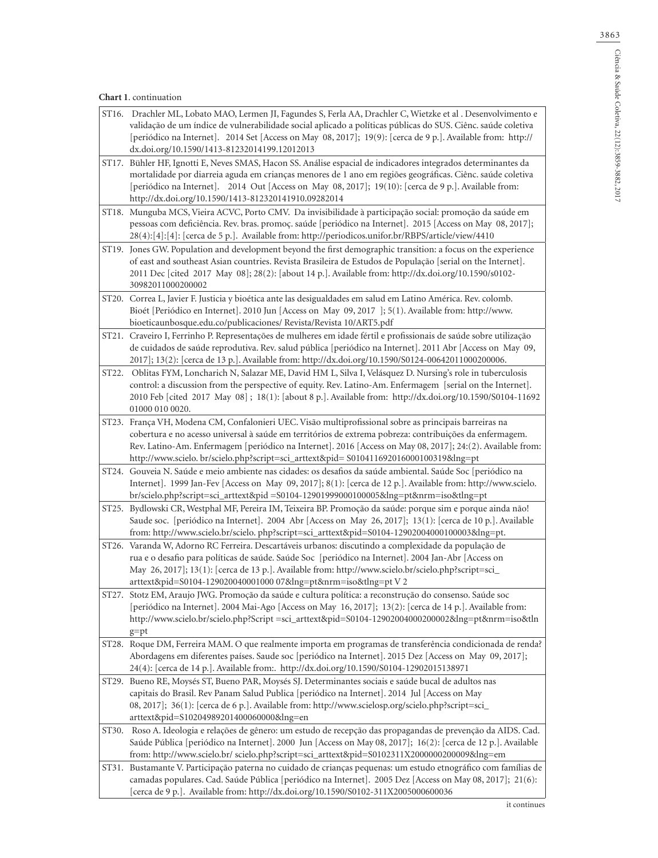|       | ST16. Drachler ML, Lobato MAO, Lermen JI, Fagundes S, Ferla AA, Drachler C, Wietzke et al. Desenvolvimento e<br>validação de um índice de vulnerabilidade social aplicado a políticas públicas do SUS. Ciênc. saúde coletiva<br>[periódico na Internet]. 2014 Set [Access on May 08, 2017]; 19(9): [cerca de 9 p.]. Available from: http://<br>dx.doi.org/10.1590/1413-81232014199.12012013 |
|-------|---------------------------------------------------------------------------------------------------------------------------------------------------------------------------------------------------------------------------------------------------------------------------------------------------------------------------------------------------------------------------------------------|
|       | ST17. Bühler HF, Ignotti E, Neves SMAS, Hacon SS. Análise espacial de indicadores integrados determinantes da                                                                                                                                                                                                                                                                               |
|       | mortalidade por diarreia aguda em crianças menores de 1 ano em regiões geográficas. Ciênc. saúde coletiva<br>[periódico na Internet]. 2014 Out [Access on May 08, 2017]; 19(10): [cerca de 9 p.]. Available from:<br>http://dx.doi.org/10.1590/1413-812320141910.09282014                                                                                                                   |
|       | ST18. Munguba MCS, Vieira ACVC, Porto CMV. Da invisibilidade à participação social: promoção da saúde em<br>pessoas com deficiência. Rev. bras. promoç. saúde [periódico na Internet]. 2015 [Access on May 08, 2017];<br>28(4):[4]:[4]: [cerca de 5 p.]. Available from: http://periodicos.unifor.br/RBPS/article/view/4410                                                                 |
|       | ST19. Jones GW. Population and development beyond the first demographic transition: a focus on the experience<br>of east and southeast Asian countries. Revista Brasileira de Estudos de População [serial on the Internet].<br>2011 Dec [cited 2017 May 08]; 28(2): [about 14 p.]. Available from: http://dx.doi.org/10.1590/s0102-<br>30982011000200002                                   |
|       | ST20. Correa L, Javier F. Justicia y bioética ante las desigualdades em salud em Latino América. Rev. colomb.<br>Bioét [Periódico en Internet]. 2010 Jun [Access on May 09, 2017]; 5(1). Available from: http://www.<br>bioeticaunbosque.edu.co/publicaciones/ Revista/Revista 10/ART5.pdf                                                                                                  |
|       | ST21. Craveiro I, Ferrinho P. Representações de mulheres em idade fértil e profissionais de saúde sobre utilização                                                                                                                                                                                                                                                                          |
|       | de cuidados de saúde reprodutiva. Rev. salud pública [periódico na Internet]. 2011 Abr [Access on May 09,<br>2017]; 13(2): [cerca de 13 p.]. Available from: http://dx.doi.org/10.1590/S0124-00642011000200006.                                                                                                                                                                             |
| ST22. | Oblitas FYM, Loncharich N, Salazar ME, David HM L, Silva I, Velásquez D. Nursing's role in tuberculosis<br>control: a discussion from the perspective of equity. Rev. Latino-Am. Enfermagem [serial on the Internet].<br>2010 Feb [cited 2017 May 08]; 18(1): [about 8 p.]. Available from: http://dx.doi.org/10.1590/S0104-11692<br>01000 010 0020.                                        |
|       | ST23. França VH, Modena CM, Confalonieri UEC. Visão multiprofissional sobre as principais barreiras na                                                                                                                                                                                                                                                                                      |
|       | cobertura e no acesso universal à saúde em territórios de extrema pobreza: contribuições da enfermagem.<br>Rev. Latino-Am. Enfermagem [periódico na Internet]. 2016 [Access on May 08, 2017]; 24:(2). Available from:<br>http://www.scielo.br/scielo.php?script=sci_arttext&pid= S010411692016000100319&lng=pt                                                                              |
|       | ST24. Gouveia N. Saúde e meio ambiente nas cidades: os desafios da saúde ambiental. Saúde Soc [periódico na<br>Internet]. 1999 Jan-Fev [Access on May 09, 2017]; 8(1): [cerca de 12 p.]. Available from: http://www.scielo.<br>br/scielo.php?script=sci_arttext&pid =S0104-12901999000100005&lng=pt&nrm=iso&tlng=pt                                                                         |
|       | ST25. Bydlowski CR, Westphal MF, Pereira IM, Teixeira BP. Promoção da saúde: porque sim e porque ainda não!<br>Saude soc. [periódico na Internet]. 2004 Abr [Access on May 26, 2017]; 13(1): [cerca de 10 p.]. Available<br>from: http://www.scielo.br/scielo. php?script=sci_arttext&pid=S0104-12902004000100003&lng=pt.                                                                   |
|       | ST26. Varanda W, Adorno RC Ferreira. Descartáveis urbanos: discutindo a complexidade da população de<br>rua e o desafio para políticas de saúde. Saúde Soc [periódico na Internet]. 2004 Jan-Abr [Access on<br>May 26, 2017]; 13(1): [cerca de 13 p.]. Available from: http://www.scielo.br/scielo.php?script=sci_<br>arttext&pid=S0104-129020040001000 07&lng=pt&nrm=iso&tlng=pt V 2       |
| ST27. | Stotz EM, Araujo JWG. Promoção da saúde e cultura política: a reconstrução do consenso. Saúde soc<br>[periódico na Internet]. 2004 Mai-Ago [Access on May 16, 2017]; 13(2): [cerca de 14 p.]. Available from:<br>http://www.scielo.br/scielo.php?Script=sci_arttext&pid=S0104-12902004000200002&lng=pt&nrm=iso&tln<br>$g=pt$                                                                |
|       | ST28. Roque DM, Ferreira MAM. O que realmente importa em programas de transferência condicionada de renda?<br>Abordagens em diferentes países. Saude soc [periódico na Internet]. 2015 Dez [Access on May 09, 2017];<br>24(4): [cerca de 14 p.]. Available from:. http://dx.doi.org/10.1590/S0104-12902015138971                                                                            |
|       | ST29. Bueno RE, Moysés ST, Bueno PAR, Moysés SJ. Determinantes sociais e saúde bucal de adultos nas<br>capitais do Brasil. Rev Panam Salud Publica [periódico na Internet]. 2014 Jul [Access on May<br>08, 2017]; 36(1): [cerca de 6 p.]. Available from: http://www.scielosp.org/scielo.php?script=sci_<br>arttext&pid=S10204989201400060000&lng=en                                        |
| ST30. | Roso A. Ideologia e relações de gênero: um estudo de recepção das propagandas de prevenção da AIDS. Cad.<br>Saúde Pública [periódico na Internet]. 2000 Jun [Access on May 08, 2017]; 16(2): [cerca de 12 p.]. Available<br>from: http://www.scielo.br/ scielo.php?script=sci_arttext&pid=S0102311X2000000200009&lng=em                                                                     |
|       | ST31. Bustamante V. Participação paterna no cuidado de crianças pequenas: um estudo etnográfico com famílias de<br>camadas populares. Cad. Saúde Pública [periódico na Internet]. 2005 Dez [Access on May 08, 2017]; 21(6):<br>[cerca de 9 p.]. Available from: http://dx.doi.org/10.1590/S0102-311X2005000600036                                                                           |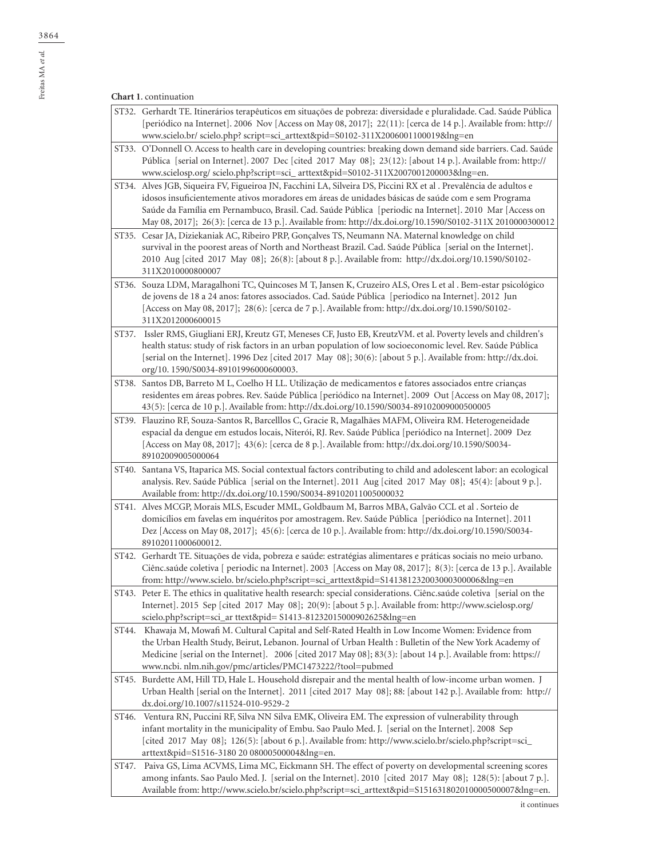|       | ST32. Gerhardt TE. Itinerários terapêuticos em situações de pobreza: diversidade e pluralidade. Cad. Saúde Pública    |
|-------|-----------------------------------------------------------------------------------------------------------------------|
|       | [periódico na Internet]. 2006 Nov [Access on May 08, 2017]; 22(11): [cerca de 14 p.]. Available from: http://         |
|       | www.scielo.br/scielo.php?script=sci_arttext&pid=S0102-311X2006001100019&lng=en                                        |
|       | ST33. O'Donnell O. Access to health care in developing countries: breaking down demand side barriers. Cad. Saúde      |
|       | Pública [serial on Internet]. 2007 Dec [cited 2017 May 08]; 23(12): [about 14 p.]. Available from: http://            |
|       | www.scielosp.org/scielo.php?script=sci_arttext&pid=S0102-311X2007001200003&lng=en.                                    |
|       |                                                                                                                       |
|       | ST34. Alves JGB, Siqueira FV, Figueiroa JN, Facchini LA, Silveira DS, Piccini RX et al . Prevalência de adultos e     |
|       | idosos insuficientemente ativos moradores em áreas de unidades básicas de saúde com e sem Programa                    |
|       | Saúde da Família em Pernambuco, Brasil. Cad. Saúde Pública [periodic na Internet]. 2010 Mar [Access on                |
|       | May 08, 2017]; 26(3): [cerca de 13 p.]. Available from: http://dx.doi.org/10.1590/S0102-311X 2010000300012            |
|       | ST35. Cesar JA, Diziekaniak AC, Ribeiro PRP, Gonçalves TS, Neumann NA. Maternal knowledge on child                    |
|       | survival in the poorest areas of North and Northeast Brazil. Cad. Saúde Pública [serial on the Internet].             |
|       | 2010 Aug [cited 2017 May 08]; 26(8): [about 8 p.]. Available from: http://dx.doi.org/10.1590/S0102-                   |
|       | 311X2010000800007                                                                                                     |
|       | ST36. Souza LDM, Maragalhoni TC, Quincoses M T, Jansen K, Cruzeiro ALS, Ores L et al . Bem-estar psicológico          |
|       | de jovens de 18 a 24 anos: fatores associados. Cad. Saúde Pública [periodico na Internet]. 2012 Jun                   |
|       | [Access on May 08, 2017]; 28(6): [cerca de 7 p.]. Available from: http://dx.doi.org/10.1590/S0102-                    |
|       | 311X2012000600015                                                                                                     |
| ST37. | Issler RMS, Giugliani ERJ, Kreutz GT, Meneses CF, Justo EB, KreutzVM. et al. Poverty levels and children's            |
|       | health status: study of risk factors in an urban population of low socioeconomic level. Rev. Saúde Pública            |
|       | [serial on the Internet]. 1996 Dez [cited 2017 May 08]; 30(6): [about 5 p.]. Available from: http://dx.doi.           |
|       | org/10.1590/S0034-89101996000600003.                                                                                  |
|       | ST38. Santos DB, Barreto M L, Coelho H LL. Utilização de medicamentos e fatores associados entre crianças             |
|       | residentes em áreas pobres. Rev. Saúde Pública [periódico na Internet]. 2009 Out [Access on May 08, 2017];            |
|       | 43(5): [cerca de 10 p.]. Available from: http://dx.doi.org/10.1590/S0034-89102009000500005                            |
|       | ST39. Flauzino RF, Souza-Santos R, Barcelllos C, Gracie R, Magalhães MAFM, Oliveira RM. Heterogeneidade               |
|       | espacial da dengue em estudos locais, Niterói, RJ. Rev. Saúde Pública [periódico na Internet]. 2009 Dez               |
|       | [Access on May 08, 2017]; 43(6): [cerca de 8 p.]. Available from: http://dx.doi.org/10.1590/S0034-                    |
|       | 89102009005000064                                                                                                     |
|       | ST40. Santana VS, Itaparica MS. Social contextual factors contributing to child and adolescent labor: an ecological   |
|       | analysis. Rev. Saúde Pública [serial on the Internet]. 2011 Aug [cited 2017 May 08]; 45(4): [about 9 p.].             |
|       | Available from: http://dx.doi.org/10.1590/S0034-89102011005000032                                                     |
|       | ST41. Alves MCGP, Morais MLS, Escuder MML, Goldbaum M, Barros MBA, Galvão CCL et al . Sorteio de                      |
|       | domicílios em favelas em inquéritos por amostragem. Rev. Saúde Pública [periódico na Internet]. 2011                  |
|       | Dez [Access on May 08, 2017]; 45(6): [cerca de 10 p.]. Available from: http://dx.doi.org/10.1590/S0034-               |
|       | 89102011000600012.                                                                                                    |
|       | ST42. Gerhardt TE. Situações de vida, pobreza e saúde: estratégias alimentares e práticas sociais no meio urbano.     |
|       | Ciênc.saúde coletiva [ periodic na Internet]. 2003 [Access on May 08, 2017]; 8(3): [cerca de 13 p.]. Available        |
|       | from: http://www.scielo.br/scielo.php?script=sci_arttext&pid=S14138123200300030006&lng=en                             |
|       | ST43. Peter E. The ethics in qualitative health research: special considerations. Ciênc.saúde coletiva [serial on the |
|       | Internet]. 2015 Sep [cited 2017 May 08]; 20(9): [about 5 p.]. Available from: http://www.scielosp.org/                |
|       | scielo.php?script=sci_ar ttext&pid= S1413-81232015000902625&lng=en                                                    |
| ST44. | Khawaja M, Mowafi M. Cultural Capital and Self-Rated Health in Low Income Women: Evidence from                        |
|       | the Urban Health Study, Beirut, Lebanon. Journal of Urban Health : Bulletin of the New York Academy of                |
|       | Medicine [serial on the Internet]. 2006 [cited 2017 May 08]; 83(3): [about 14 p.]. Available from: https://           |
|       | www.ncbi.nlm.nih.gov/pmc/articles/PMC1473222/?tool=pubmed                                                             |
|       | ST45. Burdette AM, Hill TD, Hale L. Household disrepair and the mental health of low-income urban women. J            |
|       | Urban Health [serial on the Internet]. 2011 [cited 2017 May 08]; 88: [about 142 p.]. Available from: http://          |
|       | dx.doi.org/10.1007/s11524-010-9529-2                                                                                  |
|       | ST46. Ventura RN, Puccini RF, Silva NN Silva EMK, Oliveira EM. The expression of vulnerability through                |
|       | infant mortality in the municipality of Embu. Sao Paulo Med. J. [serial on the Internet]. 2008 Sep                    |
|       | [cited 2017 May 08]; 126(5): [about 6 p.]. Available from: http://www.scielo.br/scielo.php?script=sci_                |
|       | arttext&pid=S1516-3180 20 08000500004&lng=en.                                                                         |
|       | Paiva GS, Lima ACVMS, Lima MC, Eickmann SH. The effect of poverty on developmental screening scores                   |
| ST47. | among infants. Sao Paulo Med. J. [serial on the Internet]. 2010 [cited 2017 May 08]; 128(5): [about 7 p.].            |
|       | Available from: http://www.scielo.br/scielo.php?script=sci_arttext&pid=S151631802010000500007&lng=en.                 |
|       |                                                                                                                       |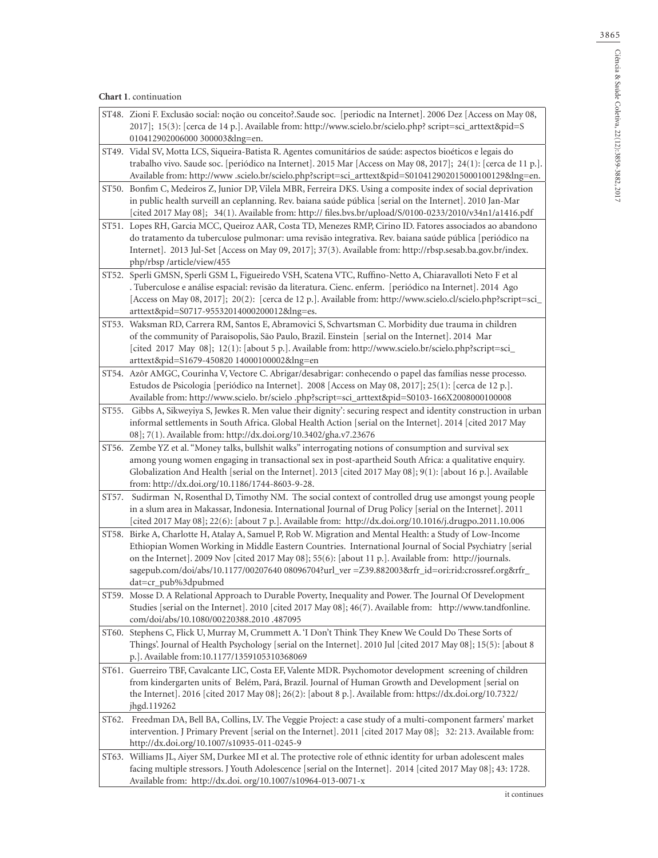|       | ST48. Zioni F. Exclusão social: noção ou conceito?.Saude soc. [periodic na Internet]. 2006 Dez [Access on May 08,<br>2017]; 15(3): [cerca de 14 p.]. Available from: http://www.scielo.br/scielo.php? script=sci_arttext&pid=S<br>010412902006000 300003&lng=en.                                                                                                  |
|-------|-------------------------------------------------------------------------------------------------------------------------------------------------------------------------------------------------------------------------------------------------------------------------------------------------------------------------------------------------------------------|
|       | ST49. Vidal SV, Motta LCS, Siqueira-Batista R. Agentes comunitários de saúde: aspectos bioéticos e legais do                                                                                                                                                                                                                                                      |
|       | trabalho vivo. Saude soc. [periódico na Internet]. 2015 Mar [Access on May 08, 2017]; 24(1): [cerca de 11 p.].                                                                                                                                                                                                                                                    |
|       | Available from: http://www .scielo.br/scielo.php?script=sci_arttext&pid=S010412902015000100129&lng=en.                                                                                                                                                                                                                                                            |
|       | ST50. Bonfim C, Medeiros Z, Junior DP, Vilela MBR, Ferreira DKS. Using a composite index of social deprivation                                                                                                                                                                                                                                                    |
|       | in public health surveill an ceplanning. Rev. baiana saúde pública [serial on the Internet]. 2010 Jan-Mar<br>[cited 2017 May 08]; 34(1). Available from: http:// files.bvs.br/upload/S/0100-0233/2010/v34n1/a1416.pdf                                                                                                                                             |
|       | ST51. Lopes RH, Garcia MCC, Queiroz AAR, Costa TD, Menezes RMP, Cirino ID. Fatores associados ao abandono<br>do tratamento da tuberculose pulmonar: uma revisão integrativa. Rev. baiana saúde pública [periódico na<br>Internet]. 2013 Jul-Set [Access on May 09, 2017]; 37(3). Available from: http://rbsp.sesab.ba.gov.br/index.<br>php/rbsp /article/view/455 |
|       | ST52. Sperli GMSN, Sperli GSM L, Figueiredo VSH, Scatena VTC, Ruffino-Netto A, Chiaravalloti Neto F et al                                                                                                                                                                                                                                                         |
|       | . Tuberculose e análise espacial: revisão da literatura. Cienc. enferm. [periódico na Internet]. 2014 Ago<br>[Access on May 08, 2017]; 20(2): [cerca de 12 p.]. Available from: http://www.scielo.cl/scielo.php?script=sci_<br>arttext&pid=S0717-95532014000200012&lng=es.                                                                                        |
|       | ST53. Waksman RD, Carrera RM, Santos E, Abramovici S, Schvartsman C. Morbidity due trauma in children<br>of the community of Paraisopolis, São Paulo, Brazil. Einstein [serial on the Internet]. 2014 Mar<br>[cited 2017 May 08]; 12(1): [about 5 p.]. Available from: http://www.scielo.br/scielo.php?script=sci_<br>arttext&pid=S1679-450820 14000100002&lng=en |
|       | ST54. Azôr AMGC, Courinha V, Vectore C. Abrigar/desabrigar: conhecendo o papel das famílias nesse processo.<br>Estudos de Psicologia [periódico na Internet]. 2008 [Access on May 08, 2017]; 25(1): [cerca de 12 p.].<br>Available from: http://www.scielo.br/scielo.php?script=sci_arttext&pid=S0103-166X2008000100008                                           |
|       | ST55. Gibbs A, Sikweyiya S, Jewkes R. Men value their dignity': securing respect and identity construction in urban<br>informal settlements in South Africa. Global Health Action [serial on the Internet]. 2014 [cited 2017 May<br>08]; 7(1). Available from: http://dx.doi.org/10.3402/gha.v7.23676                                                             |
|       | ST56. Zembe YZ et al. "Money talks, bullshit walks" interrogating notions of consumption and survival sex                                                                                                                                                                                                                                                         |
|       | among young women engaging in transactional sex in post-apartheid South Africa: a qualitative enquiry.<br>Globalization And Health [serial on the Internet]. 2013 [cited 2017 May 08]; 9(1): [about 16 p.]. Available<br>from: http://dx.doi.org/10.1186/1744-8603-9-28.                                                                                          |
| ST57. | Sudirman N, Rosenthal D, Timothy NM. The social context of controlled drug use amongst young people                                                                                                                                                                                                                                                               |
|       | in a slum area in Makassar, Indonesia. International Journal of Drug Policy [serial on the Internet]. 2011<br>[cited 2017 May 08]; 22(6): [about 7 p.]. Available from: http://dx.doi.org/10.1016/j.drugpo.2011.10.006                                                                                                                                            |
|       | ST58. Birke A, Charlotte H, Atalay A, Samuel P, Rob W. Migration and Mental Health: a Study of Low-Income                                                                                                                                                                                                                                                         |
|       | Ethiopian Women Working in Middle Eastern Countries. International Journal of Social Psychiatry [serial<br>on the Internet]. 2009 Nov [cited 2017 May 08]; 55(6): [about 11 p.]. Available from: http://journals.<br>sagepub.com/doi/abs/10.1177/00207640 08096704?url_ver =Z39.882003𝔯_id=ori:rid:crossref.org𝔯_<br>dat=cr_pub%3dpubmed                          |
|       | ST59. Mosse D. A Relational Approach to Durable Poverty, Inequality and Power. The Journal Of Development<br>Studies [serial on the Internet]. 2010 [cited 2017 May 08]; 46(7). Available from: http://www.tandfonline.<br>com/doi/abs/10.1080/00220388.2010.487095                                                                                               |
|       | ST60. Stephens C, Flick U, Murray M, Crummett A. 'I Don't Think They Knew We Could Do These Sorts of                                                                                                                                                                                                                                                              |
|       | Things'. Journal of Health Psychology [serial on the Internet]. 2010 Jul [cited 2017 May 08]; 15(5): [about 8<br>p.]. Available from:10.1177/1359105310368069                                                                                                                                                                                                     |
|       | ST61. Guerreiro TBF, Cavalcante LIC, Costa EF, Valente MDR. Psychomotor development screening of children                                                                                                                                                                                                                                                         |
|       | from kindergarten units of Belém, Pará, Brazil. Journal of Human Growth and Development [serial on<br>the Internet]. 2016 [cited 2017 May 08]; 26(2): [about 8 p.]. Available from: https://dx.doi.org/10.7322/<br>jhgd.119262                                                                                                                                    |
|       | ST62. Freedman DA, Bell BA, Collins, LV. The Veggie Project: a case study of a multi-component farmers' market                                                                                                                                                                                                                                                    |
|       | intervention. J Primary Prevent [serial on the Internet]. 2011 [cited 2017 May 08]; 32: 213. Available from:                                                                                                                                                                                                                                                      |
|       | http://dx.doi.org/10.1007/s10935-011-0245-9                                                                                                                                                                                                                                                                                                                       |
|       | ST63. Williams JL, Aiyer SM, Durkee MI et al. The protective role of ethnic identity for urban adolescent males<br>facing multiple stressors. J Youth Adolescence [serial on the Internet]. 2014 [cited 2017 May 08]; 43: 1728.<br>Available from: http://dx.doi.org/10.1007/s10964-013-0071-x                                                                    |
|       |                                                                                                                                                                                                                                                                                                                                                                   |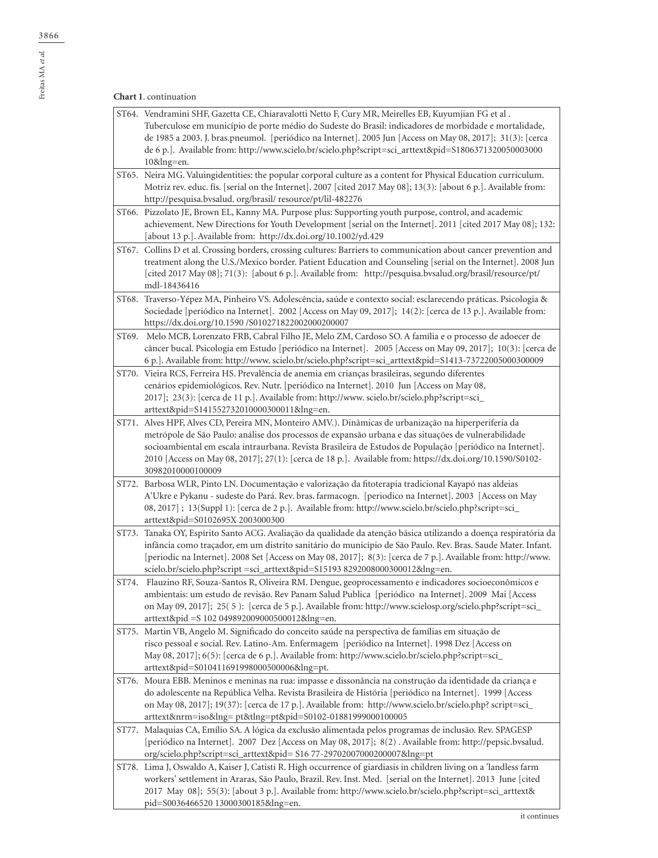|       | ST64. Vendramini SHF, Gazetta CE, Chiaravalotti Netto F, Cury MR, Meirelles EB, Kuyumjian FG et al.                                                                                                                              |
|-------|----------------------------------------------------------------------------------------------------------------------------------------------------------------------------------------------------------------------------------|
|       | Tuberculose em município de porte médio do Sudeste do Brasil: indicadores de morbidade e mortalidade,<br>de 1985 a 2003. J. bras.pneumol. [periódico na Internet]. 2005 Jun [Access on May 08, 2017]; 31(3): [cerca              |
|       | de 6 p.]. Available from: http://www.scielo.br/scielo.php?script=sci_arttext&pid=S1806371320050003000                                                                                                                            |
|       | 10&lng=en.                                                                                                                                                                                                                       |
|       | ST65. Neira MG. Valuingidentities: the popular corporal culture as a content for Physical Education curriculum.                                                                                                                  |
|       | Motriz rev. educ. fís. [serial on the Internet]. 2007 [cited 2017 May 08]; 13(3): [about 6 p.]. Available from:                                                                                                                  |
|       | http://pesquisa.bvsalud.org/brasil/resource/pt/lil-482276                                                                                                                                                                        |
|       | ST66. Pizzolato JE, Brown EL, Kanny MA. Purpose plus: Supporting youth purpose, control, and academic                                                                                                                            |
|       | achievement. New Directions for Youth Development [serial on the Internet]. 2011 [cited 2017 May 08]; 132:                                                                                                                       |
|       | [about 13 p.]. Available from: http://dx.doi.org/10.1002/yd.429                                                                                                                                                                  |
|       | ST67. Collins D et al. Crossing borders, crossing cultures: Barriers to communication about cancer prevention and<br>treatment along the U.S./Mexico border. Patient Education and Counseling [serial on the Internet]. 2008 Jun |
|       | [cited 2017 May 08]; 71(3): [about 6 p.]. Available from: http://pesquisa.bvsalud.org/brasil/resource/pt/                                                                                                                        |
|       | mdl-18436416                                                                                                                                                                                                                     |
|       | ST68. Traverso-Yépez MA, Pinheiro VS. Adolescência, saúde e contexto social: esclarecendo práticas. Psicologia &                                                                                                                 |
|       | Sociedade [periódico na Internet]. 2002 [Access on May 09, 2017]; 14(2): [cerca de 13 p.]. Available from:                                                                                                                       |
|       | https://dx.doi.org/10.1590 /S010271822002000200007                                                                                                                                                                               |
|       | ST69. Melo MCB, Lorenzato FRB, Cabral Filho JE, Melo ZM, Cardoso SO. A família e o processo de adoecer de                                                                                                                        |
|       | câncer bucal. Psicologia em Estudo [periódico na Internet]. 2005 [Access on May 09, 2017]; 10(3): [cerca de                                                                                                                      |
|       | 6 p.]. Available from: http://www. scielo.br/scielo.php?script=sci_arttext&pid=S1413-73722005000300009                                                                                                                           |
|       | ST70. Vieira RCS, Ferreira HS. Prevalência de anemia em crianças brasileiras, segundo diferentes                                                                                                                                 |
|       | cenários epidemiológicos. Rev. Nutr. [periódico na Internet]. 2010 Jun [Access on May 08,<br>2017]; 23(3): [cerca de 11 p.]. Available from: http://www.scielo.br/scielo.php?script=sci_                                         |
|       | arttext&pid=S141552732010000300011&lng=en.                                                                                                                                                                                       |
|       | ST71. Alves HPF, Alves CD, Pereira MN, Monteiro AMV.). Dinâmicas de urbanização na hiperperiferia da                                                                                                                             |
|       | metrópole de São Paulo: análise dos processos de expansão urbana e das situações de vulnerabilidade                                                                                                                              |
|       | socioambiental em escala intraurbana. Revista Brasileira de Estudos de População [periódico na Internet].                                                                                                                        |
|       | 2010 [Access on May 08, 2017]; 27(1): [cerca de 18 p.]. Available from: https://dx.doi.org/10.1590/S0102-                                                                                                                        |
|       | 30982010000100009                                                                                                                                                                                                                |
|       | ST72. Barbosa WLR, Pinto LN. Documentação e valorização da fitoterapia tradicional Kayapó nas aldeias                                                                                                                            |
|       | A'Ukre e Pykanu - sudeste do Pará. Rev. bras. farmacogn. [periodico na Internet]. 2003 [Access on May<br>08, 2017]; 13(Suppl 1): [cerca de 2 p.]. Available from: http://www.scielo.br/scielo.php?script=sci_                    |
|       | arttext&pid=S0102695X 2003000300                                                                                                                                                                                                 |
|       | ST73. Tanaka OY, Espírito Santo ACG. Avaliação da qualidade da atenção básica utilizando a doença respiratória da                                                                                                                |
|       | infância como traçador, em um distrito sanitário do município de São Paulo. Rev. Bras. Saude Mater. Infant.                                                                                                                      |
|       | [periodic na Internet]. 2008 Set [Access on May 08, 2017]; 8(3): [cerca de 7 p.]. Available from: http://www.                                                                                                                    |
|       | scielo.br/scielo.php?script=sci_arttext&pid=S15193 8292008000300012&lng=en.                                                                                                                                                      |
|       | ST74. Flauzino RF, Souza-Santos R, Oliveira RM. Dengue, geoprocessamento e indicadores socioeconômicos e                                                                                                                         |
|       | ambientais: um estudo de revisão. Rev Panam Salud Publica [periódico na Internet]. 2009 Mai [Access                                                                                                                              |
|       | on May 09, 2017]; 25(5): [cerca de 5 p.]. Available from: http://www.scielosp.org/scielo.php?script=sci_<br>arttext&pid = S 102 049892009000500012&lng=en.                                                                       |
|       | ST75. Martin VB, Angelo M. Significado do conceito saúde na perspectiva de famílias em situação de                                                                                                                               |
|       | risco pessoal e social. Rev. Latino-Am. Enfermagem [periódico na Internet]. 1998 Dez [Access on                                                                                                                                  |
|       | May 08, 2017]; 6(5): [cerca de 6 p.]. Available from: http://www.scielo.br/scielo.php?script=sci_                                                                                                                                |
|       | arttext&pid=S010411691998000500006&lng=pt.                                                                                                                                                                                       |
|       | ST76. Moura EBB. Meninos e meninas na rua: impasse e dissonância na construção da identidade da criança e                                                                                                                        |
|       | do adolescente na República Velha. Revista Brasileira de História [periódico na Internet]. 1999 [Access                                                                                                                          |
|       | on May 08, 2017]; 19(37): [cerca de 17 p.]. Available from: http://www.scielo.br/scielo.php? script=sci_                                                                                                                         |
|       | arttext&nrm=iso&lng= pt&tlng=pt&pid=S0102-01881999000100005                                                                                                                                                                      |
| ST77. | Malaquias CA, Emílio SA. A lógica da exclusão alimentada pelos programas de inclusão. Rev. SPAGESP                                                                                                                               |
|       | [periódico na Internet]. 2007 Dez [Access on May 08, 2017]; 8(2). Available from: http://pepsic.bvsalud.<br>org/scielo.php?script=sci_arttext&pid= S16 77-29702007000200007&lng=pt                                               |
|       | ST78. Lima J, Oswaldo A, Kaiser J, Catisti R. High occurrence of giardiasis in children living on a 'landless farm                                                                                                               |
|       | workers' settlement in Araras, São Paulo, Brazil. Rev. Inst. Med. [serial on the Internet]. 2013 June [cited                                                                                                                     |
|       | 2017 May 08]; 55(3): [about 3 p.]. Available from: http://www.scielo.br/scielo.php?script=sci_arttext&                                                                                                                           |
|       | pid=S0036466520 13000300185&lng=en.                                                                                                                                                                                              |

Freitas MA *et al.*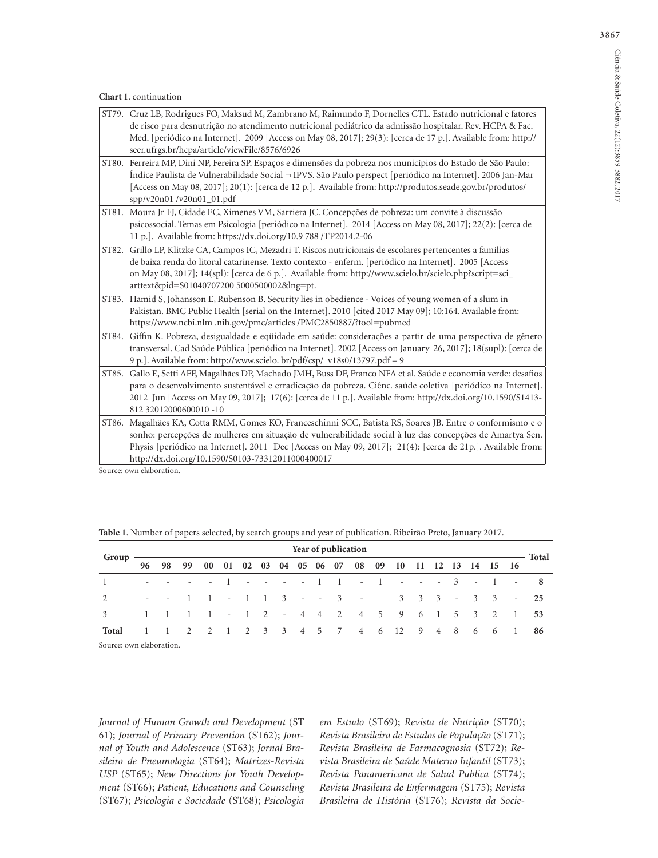|       | ST79. Cruz LB, Rodrigues FO, Maksud M, Zambrano M, Raimundo F, Dornelles CTL. Estado nutricional e fatores     |
|-------|----------------------------------------------------------------------------------------------------------------|
|       | de risco para desnutrição no atendimento nutricional pediátrico da admissão hospitalar. Rev. HCPA & Fac.       |
|       | Med. [periódico na Internet]. 2009 [Access on May 08, 2017]; 29(3): [cerca de 17 p.]. Available from: http://  |
|       | seer.ufrgs.br/hcpa/article/viewFile/8576/6926                                                                  |
|       | ST80. Ferreira MP, Dini NP, Fereira SP. Espaços e dimensões da pobreza nos municípios do Estado de São Paulo:  |
|       | Índice Paulista de Vulnerabilidade Social ¬ IPVS. São Paulo perspect [periódico na Internet]. 2006 Jan-Mar     |
|       | [Access on May 08, 2017]; 20(1): [cerca de 12 p.]. Available from: http://produtos.seade.gov.br/produtos/      |
|       | spp/v20n01/v20n01_01.pdf                                                                                       |
|       | ST81. Moura Jr FJ, Cidade EC, Ximenes VM, Sarriera JC. Concepções de pobreza: um convite à discussão           |
|       | psicossocial. Temas em Psicologia [periódico na Internet]. 2014 [Access on May 08, 2017]; 22(2): [cerca de     |
|       | 11 p.]. Available from: https://dx.doi.org/10.9 788 /TP2014.2-06                                               |
|       | ST82. Grillo LP, Klitzke CA, Campos IC, Mezadri T. Riscos nutricionais de escolares pertencentes a famílias    |
|       | de baixa renda do litoral catarinense. Texto contexto - enferm. [periódico na Internet]. 2005 [Access          |
|       | on May 08, 2017]; 14(spl): [cerca de 6 p.]. Available from: http://www.scielo.br/scielo.php?script=sci_        |
|       | arttext&pid=S01040707200 5000500002&lng=pt.                                                                    |
|       | ST83. Hamid S, Johansson E, Rubenson B. Security lies in obedience - Voices of young women of a slum in        |
|       | Pakistan. BMC Public Health [serial on the Internet]. 2010 [cited 2017 May 09]; 10:164. Available from:        |
|       | https://www.ncbi.nlm .nih.gov/pmc/articles /PMC2850887/?tool=pubmed                                            |
|       | ST84. Giffin K. Pobreza, desigualdade e equidade em saúde: considerações a partir de uma perspectiva de gênero |
|       | transversal. Cad Saúde Pública [periódico na Internet]. 2002 [Access on January 26, 2017]; 18(supl): [cerca de |
|       | 9 p.]. Available from: http://www.scielo. br/pdf/csp/ v18s0/13797.pdf - 9                                      |
| ST85. | Gallo E, Setti AFF, Magalhães DP, Machado JMH, Buss DF, Franco NFA et al. Saúde e economia verde: desafios     |
|       | para o desenvolvimento sustentável e erradicação da pobreza. Ciênc. saúde coletiva [periódico na Internet].    |
|       | 2012 Jun [Access on May 09, 2017]; 17(6): [cerca de 11 p.]. Available from: http://dx.doi.org/10.1590/S1413-   |
|       | 812 32012000600010 -10                                                                                         |
|       | ST86. Magalhães KA, Cotta RMM, Gomes KO, Franceschinni SCC, Batista RS, Soares JB. Entre o conformismo e o     |
|       | sonho: percepções de mulheres em situação de vulnerabilidade social à luz das concepções de Amartya Sen.       |
|       | Physis [periódico na Internet]. 2011 Dec [Access on May 09, 2017]; 21(4): [cerca de 21p.]. Available from:     |
|       | http://dx.doi.org/10.1590/S0103-73312011000400017                                                              |

Source: own elaboration.

| Group | Year of publication      |                          |                                    |                 |    |    |  |  |  |  |                |                             |      |                 |     |    | Total |                |                          |      |
|-------|--------------------------|--------------------------|------------------------------------|-----------------|----|----|--|--|--|--|----------------|-----------------------------|------|-----------------|-----|----|-------|----------------|--------------------------|------|
|       |                          | 96 98                    | - 99                               | 00              | 01 | 02 |  |  |  |  | 03 04 05 06 07 | - 08                        | - 09 | - 10            | -11 | 12 |       | 13 14 15 16    |                          |      |
|       | $\overline{\phantom{0}}$ | $\overline{\phantom{a}}$ | $\sim$ $\sim$                      |                 |    |    |  |  |  |  |                | $-1$ . $-1$ . $-1$ 1 . $-1$ |      | $- - - - 3 - 1$ |     |    |       |                |                          | $-8$ |
|       |                          |                          | $-1$ 1 - 1 1 3 - - 3 - 3 3 3 - 3 3 |                 |    |    |  |  |  |  |                |                             |      |                 |     |    |       |                | $\overline{\phantom{a}}$ | 25   |
|       |                          | $1 \quad 1$              | $\blacksquare$                     | $1 - 1 2 - 4 4$ |    |    |  |  |  |  |                | 2 4 5                       |      | 9 6 1 5 3       |     |    |       | $\overline{2}$ | $\blacksquare$           | -53  |
| Total | 1 1 2 2 1 2 3 3          |                          |                                    |                 |    |    |  |  |  |  |                | 4 5 7 4 6 12 9 4 8 6 6      |      |                 |     |    |       |                |                          | - 86 |

**Table 1**. Number of papers selected, by search groups and year of publication. Ribeirão Preto, January 2017.

Source: own elaboration.

*Journal of Human Growth and Development* (ST 61); *Journal of Primary Prevention* (ST62); *Journal of Youth and Adolescence* (ST63); *Jornal Brasileiro de Pneumologia* (ST64); *Matrizes-Revista USP* (ST65); *New Directions for Youth Development* (ST66); *Patient, Educations and Counseling* (ST67); *Psicologia e Sociedade* (ST68); *Psicologia*  *em Estudo* (ST69); *Revista de Nutrição* (ST70); *Revista Brasileira de Estudos de População* (ST71); *Revista Brasileira de Farmacognosia* (ST72); *Revista Brasileira de Saúde Materno Infantil* (ST73); *Revista Panamericana de Salud Publica* (ST74); *Revista Brasileira de Enfermagem* (ST75); *Revista Brasileira de História* (ST76); *Revista da Socie-*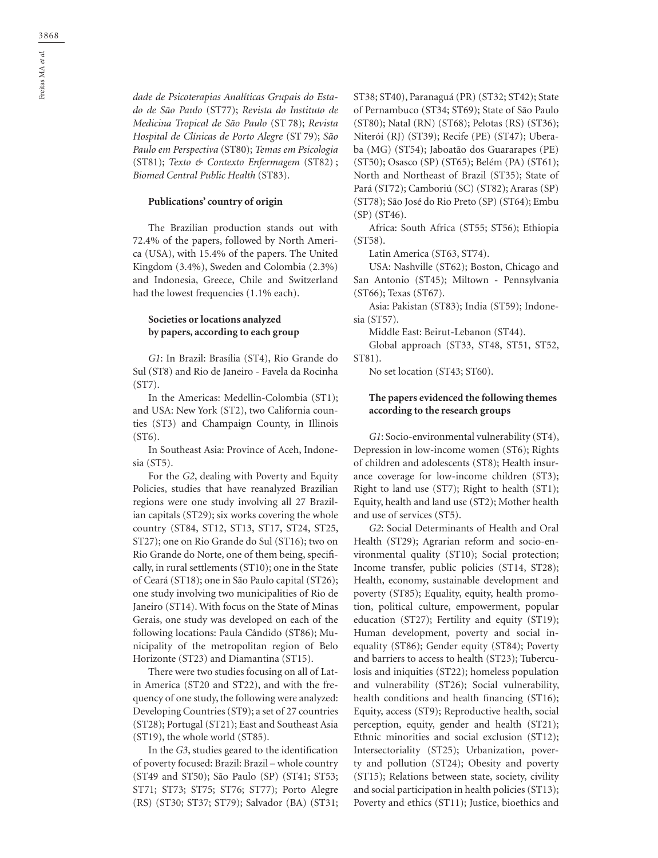*dade de Psicoterapias Analíticas Grupais do Estado de São Paulo* (ST77); *Revista do Instituto de Medicina Tropical de São Paulo* (ST 78); *Revista Hospital de Clínicas de Porto Alegre* (ST 79); *São Paulo em Perspectiva* (ST80); *Temas em Psicologia* (ST81); *Texto & Contexto Enfermagem* (ST82) ; *Biomed Central Public Health* (ST83).

## **Publications' country of origin**

The Brazilian production stands out with 72.4% of the papers, followed by North America (USA), with 15.4% of the papers. The United Kingdom (3.4%), Sweden and Colombia (2.3%) and Indonesia, Greece, Chile and Switzerland had the lowest frequencies (1.1% each).

## **Societies or locations analyzed by papers, according to each group**

*G1*: In Brazil: Brasília (ST4), Rio Grande do Sul (ST8) and Rio de Janeiro - Favela da Rocinha (ST7).

In the Americas: Medellin-Colombia (ST1); and USA: New York (ST2), two California counties (ST3) and Champaign County, in Illinois (ST6).

In Southeast Asia: Province of Aceh, Indonesia (ST5).

For the *G2*, dealing with Poverty and Equity Policies, studies that have reanalyzed Brazilian regions were one study involving all 27 Brazilian capitals (ST29); six works covering the whole country (ST84, ST12, ST13, ST17, ST24, ST25, ST27); one on Rio Grande do Sul (ST16); two on Rio Grande do Norte, one of them being, specifically, in rural settlements (ST10); one in the State of Ceará (ST18); one in São Paulo capital (ST26); one study involving two municipalities of Rio de Janeiro (ST14). With focus on the State of Minas Gerais, one study was developed on each of the following locations: Paula Cândido (ST86); Municipality of the metropolitan region of Belo Horizonte (ST23) and Diamantina (ST15).

There were two studies focusing on all of Latin America (ST20 and ST22), and with the frequency of one study, the following were analyzed: Developing Countries (ST9); a set of 27 countries (ST28); Portugal (ST21); East and Southeast Asia (ST19), the whole world (ST85).

In the *G3*, studies geared to the identification of poverty focused: Brazil: Brazil – whole country (ST49 and ST50); São Paulo (SP) (ST41; ST53; ST71; ST73; ST75; ST76; ST77); Porto Alegre (RS) (ST30; ST37; ST79); Salvador (BA) (ST31; ST38; ST40), Paranaguá (PR) (ST32; ST42); State of Pernambuco (ST34; ST69); State of São Paulo (ST80); Natal (RN) (ST68); Pelotas (RS) (ST36); Niterói (RJ) (ST39); Recife (PE) (ST47); Uberaba (MG) (ST54); Jaboatão dos Guararapes (PE) (ST50); Osasco (SP) (ST65); Belém (PA) (ST61); North and Northeast of Brazil (ST35); State of Pará (ST72); Camboriú (SC) (ST82); Araras (SP) (ST78); São José do Rio Preto (SP) (ST64); Embu (SP) (ST46).

Africa: South Africa (ST55; ST56); Ethiopia (ST58).

Latin America (ST63, ST74).

USA: Nashville (ST62); Boston, Chicago and San Antonio (ST45); Miltown - Pennsylvania (ST66); Texas (ST67).

Asia: Pakistan (ST83); India (ST59); Indonesia (ST57).

Middle East: Beirut-Lebanon (ST44).

Global approach (ST33, ST48, ST51, ST52, ST81).

No set location (ST43; ST60).

## **The papers evidenced the following themes according to the research groups**

*G1*: Socio-environmental vulnerability (ST4), Depression in low-income women (ST6); Rights of children and adolescents (ST8); Health insurance coverage for low-income children (ST3); Right to land use (ST7); Right to health (ST1); Equity, health and land use (ST2); Mother health and use of services (ST5).

*G2*: Social Determinants of Health and Oral Health (ST29); Agrarian reform and socio-environmental quality (ST10); Social protection; Income transfer, public policies (ST14, ST28); Health, economy, sustainable development and poverty (ST85); Equality, equity, health promotion, political culture, empowerment, popular education (ST27); Fertility and equity (ST19); Human development, poverty and social inequality (ST86); Gender equity (ST84); Poverty and barriers to access to health (ST23); Tuberculosis and iniquities (ST22); homeless population and vulnerability (ST26); Social vulnerability, health conditions and health financing (ST16); Equity, access (ST9); Reproductive health, social perception, equity, gender and health (ST21); Ethnic minorities and social exclusion (ST12); Intersectoriality (ST25); Urbanization, poverty and pollution (ST24); Obesity and poverty (ST15); Relations between state, society, civility and social participation in health policies (ST13); Poverty and ethics (ST11); Justice, bioethics and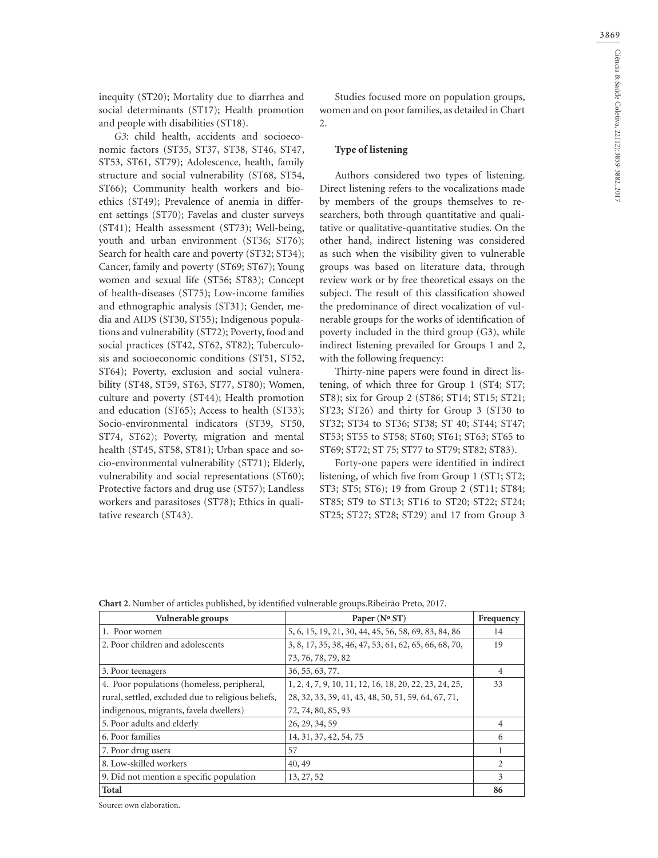3869

inequity (ST20); Mortality due to diarrhea and social determinants (ST17); Health promotion and people with disabilities (ST18).

*G3*: child health, accidents and socioeconomic factors (ST35, ST37, ST38, ST46, ST47, ST53, ST61, ST79); Adolescence, health, family structure and social vulnerability (ST68, ST54, ST66); Community health workers and bioethics (ST49); Prevalence of anemia in different settings (ST70); Favelas and cluster surveys (ST41); Health assessment (ST73); Well-being, youth and urban environment (ST36; ST76); Search for health care and poverty (ST32; ST34); Cancer, family and poverty (ST69; ST67); Young women and sexual life (ST56; ST83); Concept of health-diseases (ST75); Low-income families and ethnographic analysis (ST31); Gender, media and AIDS (ST30, ST55); Indigenous populations and vulnerability (ST72); Poverty, food and social practices (ST42, ST62, ST82); Tuberculosis and socioeconomic conditions (ST51, ST52, ST64); Poverty, exclusion and social vulnerability (ST48, ST59, ST63, ST77, ST80); Women, culture and poverty (ST44); Health promotion and education (ST65); Access to health (ST33); Socio-environmental indicators (ST39, ST50, ST74, ST62); Poverty, migration and mental health (ST45, ST58, ST81); Urban space and socio-environmental vulnerability (ST71); Elderly, vulnerability and social representations (ST60); Protective factors and drug use (ST57); Landless workers and parasitoses (ST78); Ethics in qualitative research (ST43).

Studies focused more on population groups, women and on poor families, as detailed in Chart 2.

### **Type of listening**

Authors considered two types of listening. Direct listening refers to the vocalizations made by members of the groups themselves to researchers, both through quantitative and qualitative or qualitative-quantitative studies. On the other hand, indirect listening was considered as such when the visibility given to vulnerable groups was based on literature data, through review work or by free theoretical essays on the subject. The result of this classification showed the predominance of direct vocalization of vulnerable groups for the works of identification of poverty included in the third group (G3), while indirect listening prevailed for Groups 1 and 2, with the following frequency:

Thirty-nine papers were found in direct listening, of which three for Group 1 (ST4; ST7; ST8); six for Group 2 (ST86; ST14; ST15; ST21; ST23; ST26) and thirty for Group 3 (ST30 to ST32; ST34 to ST36; ST38; ST 40; ST44; ST47; ST53; ST55 to ST58; ST60; ST61; ST63; ST65 to ST69; ST72; ST 75; ST77 to ST79; ST82; ST83).

Forty-one papers were identified in indirect listening, of which five from Group 1 (ST1; ST2; ST3; ST5; ST6); 19 from Group 2 (ST11; ST84; ST85; ST9 to ST13; ST16 to ST20; ST22; ST24; ST25; ST27; ST28; ST29) and 17 from Group 3

| Vulnerable groups                                  | Paper ( $N^{\circ}$ ST)                                | Frequency      |
|----------------------------------------------------|--------------------------------------------------------|----------------|
| 1. Poor women                                      | 5, 6, 15, 19, 21, 30, 44, 45, 56, 58, 69, 83, 84, 86   | 14             |
| 2. Poor children and adolescents                   | 3, 8, 17, 35, 38, 46, 47, 53, 61, 62, 65, 66, 68, 70,  | 19             |
|                                                    | 73, 76, 78, 79, 82                                     |                |
| 3. Poor teenagers                                  | 36, 55, 63, 77.                                        | $\overline{4}$ |
| 4. Poor populations (homeless, peripheral,         | 1, 2, 4, 7, 9, 10, 11, 12, 16, 18, 20, 22, 23, 24, 25, | 33             |
| rural, settled, excluded due to religious beliefs, | 28, 32, 33, 39, 41, 43, 48, 50, 51, 59, 64, 67, 71,    |                |
| indigenous, migrants, favela dwellers)             | 72, 74, 80, 85, 93                                     |                |
| 5. Poor adults and elderly                         | 26, 29, 34, 59                                         | $\overline{4}$ |
| 6. Poor families                                   | 14, 31, 37, 42, 54, 75                                 | 6              |
| 7. Poor drug users                                 | 57                                                     | 1              |
| 8. Low-skilled workers                             | 40, 49                                                 | 2              |
| 9. Did not mention a specific population           | 13, 27, 52                                             | 3              |
| Total                                              |                                                        | 86             |

**Chart 2**. Number of articles published, by identified vulnerable groups.Ribeirão Preto, 2017.

Source: own elaboration.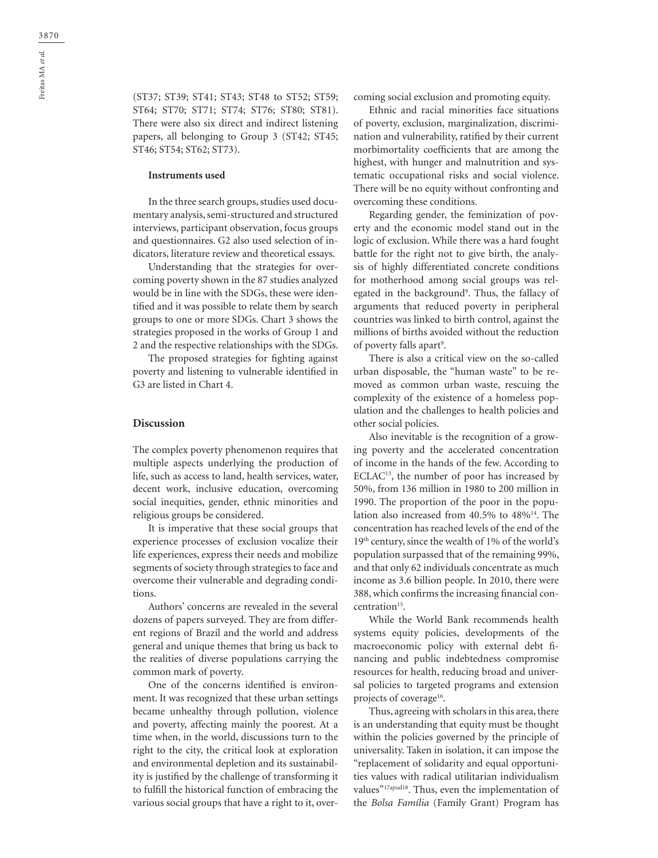Freitas MA *et al.*

#### **Instruments used**

In the three search groups, studies used documentary analysis, semi-structured and structured interviews, participant observation, focus groups and questionnaires. G2 also used selection of indicators, literature review and theoretical essays.

Understanding that the strategies for overcoming poverty shown in the 87 studies analyzed would be in line with the SDGs, these were identified and it was possible to relate them by search groups to one or more SDGs. Chart 3 shows the strategies proposed in the works of Group 1 and 2 and the respective relationships with the SDGs.

The proposed strategies for fighting against poverty and listening to vulnerable identified in G3 are listed in Chart 4.

#### **Discussion**

The complex poverty phenomenon requires that multiple aspects underlying the production of life, such as access to land, health services, water, decent work, inclusive education, overcoming social inequities, gender, ethnic minorities and religious groups be considered.

It is imperative that these social groups that experience processes of exclusion vocalize their life experiences, express their needs and mobilize segments of society through strategies to face and overcome their vulnerable and degrading conditions.

Authors' concerns are revealed in the several dozens of papers surveyed. They are from different regions of Brazil and the world and address general and unique themes that bring us back to the realities of diverse populations carrying the common mark of poverty.

One of the concerns identified is environment. It was recognized that these urban settings became unhealthy through pollution, violence and poverty, affecting mainly the poorest. At a time when, in the world, discussions turn to the right to the city, the critical look at exploration and environmental depletion and its sustainability is justified by the challenge of transforming it to fulfill the historical function of embracing the various social groups that have a right to it, overcoming social exclusion and promoting equity.

Ethnic and racial minorities face situations of poverty, exclusion, marginalization, discrimination and vulnerability, ratified by their current morbimortality coefficients that are among the highest, with hunger and malnutrition and systematic occupational risks and social violence. There will be no equity without confronting and overcoming these conditions.

Regarding gender, the feminization of poverty and the economic model stand out in the logic of exclusion. While there was a hard fought battle for the right not to give birth, the analysis of highly differentiated concrete conditions for motherhood among social groups was relegated in the background<sup>9</sup>. Thus, the fallacy of arguments that reduced poverty in peripheral countries was linked to birth control, against the millions of births avoided without the reduction of poverty falls apart<sup>9</sup>.

There is also a critical view on the so-called urban disposable, the "human waste" to be removed as common urban waste, rescuing the complexity of the existence of a homeless population and the challenges to health policies and other social policies.

Also inevitable is the recognition of a growing poverty and the accelerated concentration of income in the hands of the few. According to ECLAC13, the number of poor has increased by 50%, from 136 million in 1980 to 200 million in 1990. The proportion of the poor in the population also increased from  $40.5\%$  to  $48\%$ <sup>14</sup>. The concentration has reached levels of the end of the 19th century, since the wealth of 1% of the world's population surpassed that of the remaining 99%, and that only 62 individuals concentrate as much income as 3.6 billion people. In 2010, there were 388, which confirms the increasing financial concentration $15$ .

While the World Bank recommends health systems equity policies, developments of the macroeconomic policy with external debt financing and public indebtedness compromise resources for health, reducing broad and universal policies to targeted programs and extension projects of coverage<sup>16</sup>.

Thus, agreeing with scholars in this area, there is an understanding that equity must be thought within the policies governed by the principle of universality. Taken in isolation, it can impose the "replacement of solidarity and equal opportunities values with radical utilitarian individualism values"17apud18. Thus, even the implementation of the *Bolsa Família* (Family Grant) Program has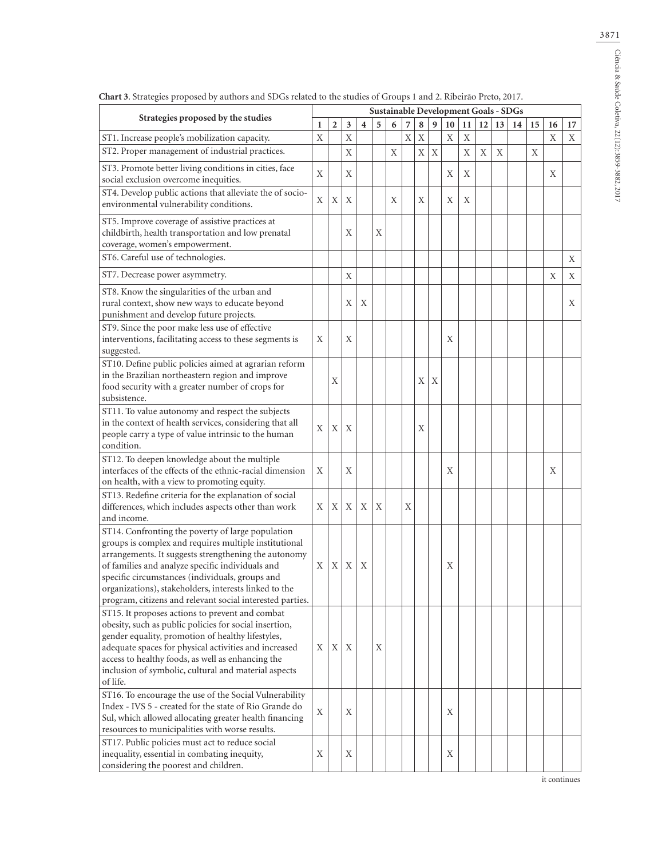3871

| Strategies proposed by the studies<br>$\overline{2}$<br>8<br>3<br>$\overline{\mathbf{4}}$<br>5<br>9<br>11<br>12<br>13<br>14<br>15<br>1<br>6<br>7<br>10<br>16<br>17<br>$\overline{\mathbf{x}}$<br>$\bar{X}$<br>$\bar{X}$<br>X<br>X<br>ST1. Increase people's mobilization capacity.<br>X<br>X<br>X<br>ST2. Proper management of industrial practices.<br>X<br>X<br>X<br>X<br>X<br>X<br>X<br>Χ<br>ST3. Promote better living conditions in cities, face<br>X<br>Χ<br>Χ<br>Χ<br>Χ<br>social exclusion overcome inequities.<br>ST4. Develop public actions that alleviate the of socio-<br>X<br>Χ<br>Χ<br>X<br>Χ<br>Χ<br>X<br>environmental vulnerability conditions.<br>ST5. Improve coverage of assistive practices at<br>childbirth, health transportation and low prenatal<br>Χ<br>X<br>coverage, women's empowerment.<br>ST6. Careful use of technologies.<br>X<br>ST7. Decrease power asymmetry.<br>X<br>Χ<br>Χ<br>ST8. Know the singularities of the urban and<br>rural context, show new ways to educate beyond<br>Χ<br>X<br>Χ<br>punishment and develop future projects.<br>ST9. Since the poor make less use of effective<br>interventions, facilitating access to these segments is<br>X<br>Χ<br>Χ<br>suggested.<br>ST10. Define public policies aimed at agrarian reform<br>in the Brazilian northeastern region and improve<br>Χ<br>Χ<br>Х<br>food security with a greater number of crops for<br>subsistence.<br>ST11. To value autonomy and respect the subjects<br>in the context of health services, considering that all<br>X<br>Χ<br>Χ<br>Χ<br>people carry a type of value intrinsic to the human<br>condition.<br>ST12. To deepen knowledge about the multiple<br>interfaces of the effects of the ethnic-racial dimension<br>X<br>X<br>Χ<br>Χ<br>on health, with a view to promoting equity.<br>ST13. Redefine criteria for the explanation of social<br>differences, which includes aspects other than work<br>X<br>Χ<br>Χ<br>Χ<br>Χ<br>Χ<br>and income.<br>ST14. Confronting the poverty of large population<br>groups is complex and requires multiple institutional<br>arrangements. It suggests strengthening the autonomy<br>of families and analyze specific individuals and<br>Χ<br>Χ<br>Χ<br>Χ<br>Χ<br>specific circumstances (individuals, groups and<br>organizations), stakeholders, interests linked to the<br>program, citizens and relevant social interested parties.<br>ST15. It proposes actions to prevent and combat<br>obesity, such as public policies for social insertion,<br>gender equality, promotion of healthy lifestyles,<br>adequate spaces for physical activities and increased<br>Χ<br>Χ<br>Χ<br>Χ<br>access to healthy foods, as well as enhancing the<br>inclusion of symbolic, cultural and material aspects<br>of life.<br>ST16. To encourage the use of the Social Vulnerability<br>Index - IVS 5 - created for the state of Rio Grande do<br>X<br>Χ<br>Χ<br>Sul, which allowed allocating greater health financing<br>resources to municipalities with worse results.<br>ST17. Public policies must act to reduce social<br>inequality, essential in combating inequity,<br>Χ<br>Χ<br>Χ | Chart 3. Strategies proposed by authors and SDGs related to the studies of Groups 1 and 2. Ribeirão Preto, 2017.<br>Sustainable Development Goals - SDGs |  |  |  |  |  |  |  |  |  |  |  |  |  |  |  |  |
|---------------------------------------------------------------------------------------------------------------------------------------------------------------------------------------------------------------------------------------------------------------------------------------------------------------------------------------------------------------------------------------------------------------------------------------------------------------------------------------------------------------------------------------------------------------------------------------------------------------------------------------------------------------------------------------------------------------------------------------------------------------------------------------------------------------------------------------------------------------------------------------------------------------------------------------------------------------------------------------------------------------------------------------------------------------------------------------------------------------------------------------------------------------------------------------------------------------------------------------------------------------------------------------------------------------------------------------------------------------------------------------------------------------------------------------------------------------------------------------------------------------------------------------------------------------------------------------------------------------------------------------------------------------------------------------------------------------------------------------------------------------------------------------------------------------------------------------------------------------------------------------------------------------------------------------------------------------------------------------------------------------------------------------------------------------------------------------------------------------------------------------------------------------------------------------------------------------------------------------------------------------------------------------------------------------------------------------------------------------------------------------------------------------------------------------------------------------------------------------------------------------------------------------------------------------------------------------------------------------------------------------------------------------------------------------------------------------------------------------------------------------------------------------------------------------------------------------------------------------------------------------------------------------------------------------------------------------------------------------------------------------------------------------------------------------------------------------------------------------------------------------------------|----------------------------------------------------------------------------------------------------------------------------------------------------------|--|--|--|--|--|--|--|--|--|--|--|--|--|--|--|--|
|                                                                                                                                                                                                                                                                                                                                                                                                                                                                                                                                                                                                                                                                                                                                                                                                                                                                                                                                                                                                                                                                                                                                                                                                                                                                                                                                                                                                                                                                                                                                                                                                                                                                                                                                                                                                                                                                                                                                                                                                                                                                                                                                                                                                                                                                                                                                                                                                                                                                                                                                                                                                                                                                                                                                                                                                                                                                                                                                                                                                                                                                                                                                                   |                                                                                                                                                          |  |  |  |  |  |  |  |  |  |  |  |  |  |  |  |  |
|                                                                                                                                                                                                                                                                                                                                                                                                                                                                                                                                                                                                                                                                                                                                                                                                                                                                                                                                                                                                                                                                                                                                                                                                                                                                                                                                                                                                                                                                                                                                                                                                                                                                                                                                                                                                                                                                                                                                                                                                                                                                                                                                                                                                                                                                                                                                                                                                                                                                                                                                                                                                                                                                                                                                                                                                                                                                                                                                                                                                                                                                                                                                                   |                                                                                                                                                          |  |  |  |  |  |  |  |  |  |  |  |  |  |  |  |  |
|                                                                                                                                                                                                                                                                                                                                                                                                                                                                                                                                                                                                                                                                                                                                                                                                                                                                                                                                                                                                                                                                                                                                                                                                                                                                                                                                                                                                                                                                                                                                                                                                                                                                                                                                                                                                                                                                                                                                                                                                                                                                                                                                                                                                                                                                                                                                                                                                                                                                                                                                                                                                                                                                                                                                                                                                                                                                                                                                                                                                                                                                                                                                                   |                                                                                                                                                          |  |  |  |  |  |  |  |  |  |  |  |  |  |  |  |  |
|                                                                                                                                                                                                                                                                                                                                                                                                                                                                                                                                                                                                                                                                                                                                                                                                                                                                                                                                                                                                                                                                                                                                                                                                                                                                                                                                                                                                                                                                                                                                                                                                                                                                                                                                                                                                                                                                                                                                                                                                                                                                                                                                                                                                                                                                                                                                                                                                                                                                                                                                                                                                                                                                                                                                                                                                                                                                                                                                                                                                                                                                                                                                                   |                                                                                                                                                          |  |  |  |  |  |  |  |  |  |  |  |  |  |  |  |  |
|                                                                                                                                                                                                                                                                                                                                                                                                                                                                                                                                                                                                                                                                                                                                                                                                                                                                                                                                                                                                                                                                                                                                                                                                                                                                                                                                                                                                                                                                                                                                                                                                                                                                                                                                                                                                                                                                                                                                                                                                                                                                                                                                                                                                                                                                                                                                                                                                                                                                                                                                                                                                                                                                                                                                                                                                                                                                                                                                                                                                                                                                                                                                                   |                                                                                                                                                          |  |  |  |  |  |  |  |  |  |  |  |  |  |  |  |  |
|                                                                                                                                                                                                                                                                                                                                                                                                                                                                                                                                                                                                                                                                                                                                                                                                                                                                                                                                                                                                                                                                                                                                                                                                                                                                                                                                                                                                                                                                                                                                                                                                                                                                                                                                                                                                                                                                                                                                                                                                                                                                                                                                                                                                                                                                                                                                                                                                                                                                                                                                                                                                                                                                                                                                                                                                                                                                                                                                                                                                                                                                                                                                                   |                                                                                                                                                          |  |  |  |  |  |  |  |  |  |  |  |  |  |  |  |  |
|                                                                                                                                                                                                                                                                                                                                                                                                                                                                                                                                                                                                                                                                                                                                                                                                                                                                                                                                                                                                                                                                                                                                                                                                                                                                                                                                                                                                                                                                                                                                                                                                                                                                                                                                                                                                                                                                                                                                                                                                                                                                                                                                                                                                                                                                                                                                                                                                                                                                                                                                                                                                                                                                                                                                                                                                                                                                                                                                                                                                                                                                                                                                                   |                                                                                                                                                          |  |  |  |  |  |  |  |  |  |  |  |  |  |  |  |  |
|                                                                                                                                                                                                                                                                                                                                                                                                                                                                                                                                                                                                                                                                                                                                                                                                                                                                                                                                                                                                                                                                                                                                                                                                                                                                                                                                                                                                                                                                                                                                                                                                                                                                                                                                                                                                                                                                                                                                                                                                                                                                                                                                                                                                                                                                                                                                                                                                                                                                                                                                                                                                                                                                                                                                                                                                                                                                                                                                                                                                                                                                                                                                                   |                                                                                                                                                          |  |  |  |  |  |  |  |  |  |  |  |  |  |  |  |  |
|                                                                                                                                                                                                                                                                                                                                                                                                                                                                                                                                                                                                                                                                                                                                                                                                                                                                                                                                                                                                                                                                                                                                                                                                                                                                                                                                                                                                                                                                                                                                                                                                                                                                                                                                                                                                                                                                                                                                                                                                                                                                                                                                                                                                                                                                                                                                                                                                                                                                                                                                                                                                                                                                                                                                                                                                                                                                                                                                                                                                                                                                                                                                                   |                                                                                                                                                          |  |  |  |  |  |  |  |  |  |  |  |  |  |  |  |  |
|                                                                                                                                                                                                                                                                                                                                                                                                                                                                                                                                                                                                                                                                                                                                                                                                                                                                                                                                                                                                                                                                                                                                                                                                                                                                                                                                                                                                                                                                                                                                                                                                                                                                                                                                                                                                                                                                                                                                                                                                                                                                                                                                                                                                                                                                                                                                                                                                                                                                                                                                                                                                                                                                                                                                                                                                                                                                                                                                                                                                                                                                                                                                                   |                                                                                                                                                          |  |  |  |  |  |  |  |  |  |  |  |  |  |  |  |  |
|                                                                                                                                                                                                                                                                                                                                                                                                                                                                                                                                                                                                                                                                                                                                                                                                                                                                                                                                                                                                                                                                                                                                                                                                                                                                                                                                                                                                                                                                                                                                                                                                                                                                                                                                                                                                                                                                                                                                                                                                                                                                                                                                                                                                                                                                                                                                                                                                                                                                                                                                                                                                                                                                                                                                                                                                                                                                                                                                                                                                                                                                                                                                                   |                                                                                                                                                          |  |  |  |  |  |  |  |  |  |  |  |  |  |  |  |  |
|                                                                                                                                                                                                                                                                                                                                                                                                                                                                                                                                                                                                                                                                                                                                                                                                                                                                                                                                                                                                                                                                                                                                                                                                                                                                                                                                                                                                                                                                                                                                                                                                                                                                                                                                                                                                                                                                                                                                                                                                                                                                                                                                                                                                                                                                                                                                                                                                                                                                                                                                                                                                                                                                                                                                                                                                                                                                                                                                                                                                                                                                                                                                                   |                                                                                                                                                          |  |  |  |  |  |  |  |  |  |  |  |  |  |  |  |  |
|                                                                                                                                                                                                                                                                                                                                                                                                                                                                                                                                                                                                                                                                                                                                                                                                                                                                                                                                                                                                                                                                                                                                                                                                                                                                                                                                                                                                                                                                                                                                                                                                                                                                                                                                                                                                                                                                                                                                                                                                                                                                                                                                                                                                                                                                                                                                                                                                                                                                                                                                                                                                                                                                                                                                                                                                                                                                                                                                                                                                                                                                                                                                                   |                                                                                                                                                          |  |  |  |  |  |  |  |  |  |  |  |  |  |  |  |  |
|                                                                                                                                                                                                                                                                                                                                                                                                                                                                                                                                                                                                                                                                                                                                                                                                                                                                                                                                                                                                                                                                                                                                                                                                                                                                                                                                                                                                                                                                                                                                                                                                                                                                                                                                                                                                                                                                                                                                                                                                                                                                                                                                                                                                                                                                                                                                                                                                                                                                                                                                                                                                                                                                                                                                                                                                                                                                                                                                                                                                                                                                                                                                                   |                                                                                                                                                          |  |  |  |  |  |  |  |  |  |  |  |  |  |  |  |  |
|                                                                                                                                                                                                                                                                                                                                                                                                                                                                                                                                                                                                                                                                                                                                                                                                                                                                                                                                                                                                                                                                                                                                                                                                                                                                                                                                                                                                                                                                                                                                                                                                                                                                                                                                                                                                                                                                                                                                                                                                                                                                                                                                                                                                                                                                                                                                                                                                                                                                                                                                                                                                                                                                                                                                                                                                                                                                                                                                                                                                                                                                                                                                                   |                                                                                                                                                          |  |  |  |  |  |  |  |  |  |  |  |  |  |  |  |  |
|                                                                                                                                                                                                                                                                                                                                                                                                                                                                                                                                                                                                                                                                                                                                                                                                                                                                                                                                                                                                                                                                                                                                                                                                                                                                                                                                                                                                                                                                                                                                                                                                                                                                                                                                                                                                                                                                                                                                                                                                                                                                                                                                                                                                                                                                                                                                                                                                                                                                                                                                                                                                                                                                                                                                                                                                                                                                                                                                                                                                                                                                                                                                                   |                                                                                                                                                          |  |  |  |  |  |  |  |  |  |  |  |  |  |  |  |  |
|                                                                                                                                                                                                                                                                                                                                                                                                                                                                                                                                                                                                                                                                                                                                                                                                                                                                                                                                                                                                                                                                                                                                                                                                                                                                                                                                                                                                                                                                                                                                                                                                                                                                                                                                                                                                                                                                                                                                                                                                                                                                                                                                                                                                                                                                                                                                                                                                                                                                                                                                                                                                                                                                                                                                                                                                                                                                                                                                                                                                                                                                                                                                                   |                                                                                                                                                          |  |  |  |  |  |  |  |  |  |  |  |  |  |  |  |  |
|                                                                                                                                                                                                                                                                                                                                                                                                                                                                                                                                                                                                                                                                                                                                                                                                                                                                                                                                                                                                                                                                                                                                                                                                                                                                                                                                                                                                                                                                                                                                                                                                                                                                                                                                                                                                                                                                                                                                                                                                                                                                                                                                                                                                                                                                                                                                                                                                                                                                                                                                                                                                                                                                                                                                                                                                                                                                                                                                                                                                                                                                                                                                                   |                                                                                                                                                          |  |  |  |  |  |  |  |  |  |  |  |  |  |  |  |  |
|                                                                                                                                                                                                                                                                                                                                                                                                                                                                                                                                                                                                                                                                                                                                                                                                                                                                                                                                                                                                                                                                                                                                                                                                                                                                                                                                                                                                                                                                                                                                                                                                                                                                                                                                                                                                                                                                                                                                                                                                                                                                                                                                                                                                                                                                                                                                                                                                                                                                                                                                                                                                                                                                                                                                                                                                                                                                                                                                                                                                                                                                                                                                                   |                                                                                                                                                          |  |  |  |  |  |  |  |  |  |  |  |  |  |  |  |  |
|                                                                                                                                                                                                                                                                                                                                                                                                                                                                                                                                                                                                                                                                                                                                                                                                                                                                                                                                                                                                                                                                                                                                                                                                                                                                                                                                                                                                                                                                                                                                                                                                                                                                                                                                                                                                                                                                                                                                                                                                                                                                                                                                                                                                                                                                                                                                                                                                                                                                                                                                                                                                                                                                                                                                                                                                                                                                                                                                                                                                                                                                                                                                                   |                                                                                                                                                          |  |  |  |  |  |  |  |  |  |  |  |  |  |  |  |  |
|                                                                                                                                                                                                                                                                                                                                                                                                                                                                                                                                                                                                                                                                                                                                                                                                                                                                                                                                                                                                                                                                                                                                                                                                                                                                                                                                                                                                                                                                                                                                                                                                                                                                                                                                                                                                                                                                                                                                                                                                                                                                                                                                                                                                                                                                                                                                                                                                                                                                                                                                                                                                                                                                                                                                                                                                                                                                                                                                                                                                                                                                                                                                                   |                                                                                                                                                          |  |  |  |  |  |  |  |  |  |  |  |  |  |  |  |  |
|                                                                                                                                                                                                                                                                                                                                                                                                                                                                                                                                                                                                                                                                                                                                                                                                                                                                                                                                                                                                                                                                                                                                                                                                                                                                                                                                                                                                                                                                                                                                                                                                                                                                                                                                                                                                                                                                                                                                                                                                                                                                                                                                                                                                                                                                                                                                                                                                                                                                                                                                                                                                                                                                                                                                                                                                                                                                                                                                                                                                                                                                                                                                                   |                                                                                                                                                          |  |  |  |  |  |  |  |  |  |  |  |  |  |  |  |  |
|                                                                                                                                                                                                                                                                                                                                                                                                                                                                                                                                                                                                                                                                                                                                                                                                                                                                                                                                                                                                                                                                                                                                                                                                                                                                                                                                                                                                                                                                                                                                                                                                                                                                                                                                                                                                                                                                                                                                                                                                                                                                                                                                                                                                                                                                                                                                                                                                                                                                                                                                                                                                                                                                                                                                                                                                                                                                                                                                                                                                                                                                                                                                                   |                                                                                                                                                          |  |  |  |  |  |  |  |  |  |  |  |  |  |  |  |  |
|                                                                                                                                                                                                                                                                                                                                                                                                                                                                                                                                                                                                                                                                                                                                                                                                                                                                                                                                                                                                                                                                                                                                                                                                                                                                                                                                                                                                                                                                                                                                                                                                                                                                                                                                                                                                                                                                                                                                                                                                                                                                                                                                                                                                                                                                                                                                                                                                                                                                                                                                                                                                                                                                                                                                                                                                                                                                                                                                                                                                                                                                                                                                                   |                                                                                                                                                          |  |  |  |  |  |  |  |  |  |  |  |  |  |  |  |  |
|                                                                                                                                                                                                                                                                                                                                                                                                                                                                                                                                                                                                                                                                                                                                                                                                                                                                                                                                                                                                                                                                                                                                                                                                                                                                                                                                                                                                                                                                                                                                                                                                                                                                                                                                                                                                                                                                                                                                                                                                                                                                                                                                                                                                                                                                                                                                                                                                                                                                                                                                                                                                                                                                                                                                                                                                                                                                                                                                                                                                                                                                                                                                                   |                                                                                                                                                          |  |  |  |  |  |  |  |  |  |  |  |  |  |  |  |  |
|                                                                                                                                                                                                                                                                                                                                                                                                                                                                                                                                                                                                                                                                                                                                                                                                                                                                                                                                                                                                                                                                                                                                                                                                                                                                                                                                                                                                                                                                                                                                                                                                                                                                                                                                                                                                                                                                                                                                                                                                                                                                                                                                                                                                                                                                                                                                                                                                                                                                                                                                                                                                                                                                                                                                                                                                                                                                                                                                                                                                                                                                                                                                                   |                                                                                                                                                          |  |  |  |  |  |  |  |  |  |  |  |  |  |  |  |  |
|                                                                                                                                                                                                                                                                                                                                                                                                                                                                                                                                                                                                                                                                                                                                                                                                                                                                                                                                                                                                                                                                                                                                                                                                                                                                                                                                                                                                                                                                                                                                                                                                                                                                                                                                                                                                                                                                                                                                                                                                                                                                                                                                                                                                                                                                                                                                                                                                                                                                                                                                                                                                                                                                                                                                                                                                                                                                                                                                                                                                                                                                                                                                                   |                                                                                                                                                          |  |  |  |  |  |  |  |  |  |  |  |  |  |  |  |  |
|                                                                                                                                                                                                                                                                                                                                                                                                                                                                                                                                                                                                                                                                                                                                                                                                                                                                                                                                                                                                                                                                                                                                                                                                                                                                                                                                                                                                                                                                                                                                                                                                                                                                                                                                                                                                                                                                                                                                                                                                                                                                                                                                                                                                                                                                                                                                                                                                                                                                                                                                                                                                                                                                                                                                                                                                                                                                                                                                                                                                                                                                                                                                                   |                                                                                                                                                          |  |  |  |  |  |  |  |  |  |  |  |  |  |  |  |  |
|                                                                                                                                                                                                                                                                                                                                                                                                                                                                                                                                                                                                                                                                                                                                                                                                                                                                                                                                                                                                                                                                                                                                                                                                                                                                                                                                                                                                                                                                                                                                                                                                                                                                                                                                                                                                                                                                                                                                                                                                                                                                                                                                                                                                                                                                                                                                                                                                                                                                                                                                                                                                                                                                                                                                                                                                                                                                                                                                                                                                                                                                                                                                                   |                                                                                                                                                          |  |  |  |  |  |  |  |  |  |  |  |  |  |  |  |  |
|                                                                                                                                                                                                                                                                                                                                                                                                                                                                                                                                                                                                                                                                                                                                                                                                                                                                                                                                                                                                                                                                                                                                                                                                                                                                                                                                                                                                                                                                                                                                                                                                                                                                                                                                                                                                                                                                                                                                                                                                                                                                                                                                                                                                                                                                                                                                                                                                                                                                                                                                                                                                                                                                                                                                                                                                                                                                                                                                                                                                                                                                                                                                                   |                                                                                                                                                          |  |  |  |  |  |  |  |  |  |  |  |  |  |  |  |  |
|                                                                                                                                                                                                                                                                                                                                                                                                                                                                                                                                                                                                                                                                                                                                                                                                                                                                                                                                                                                                                                                                                                                                                                                                                                                                                                                                                                                                                                                                                                                                                                                                                                                                                                                                                                                                                                                                                                                                                                                                                                                                                                                                                                                                                                                                                                                                                                                                                                                                                                                                                                                                                                                                                                                                                                                                                                                                                                                                                                                                                                                                                                                                                   |                                                                                                                                                          |  |  |  |  |  |  |  |  |  |  |  |  |  |  |  |  |
|                                                                                                                                                                                                                                                                                                                                                                                                                                                                                                                                                                                                                                                                                                                                                                                                                                                                                                                                                                                                                                                                                                                                                                                                                                                                                                                                                                                                                                                                                                                                                                                                                                                                                                                                                                                                                                                                                                                                                                                                                                                                                                                                                                                                                                                                                                                                                                                                                                                                                                                                                                                                                                                                                                                                                                                                                                                                                                                                                                                                                                                                                                                                                   |                                                                                                                                                          |  |  |  |  |  |  |  |  |  |  |  |  |  |  |  |  |
|                                                                                                                                                                                                                                                                                                                                                                                                                                                                                                                                                                                                                                                                                                                                                                                                                                                                                                                                                                                                                                                                                                                                                                                                                                                                                                                                                                                                                                                                                                                                                                                                                                                                                                                                                                                                                                                                                                                                                                                                                                                                                                                                                                                                                                                                                                                                                                                                                                                                                                                                                                                                                                                                                                                                                                                                                                                                                                                                                                                                                                                                                                                                                   |                                                                                                                                                          |  |  |  |  |  |  |  |  |  |  |  |  |  |  |  |  |
|                                                                                                                                                                                                                                                                                                                                                                                                                                                                                                                                                                                                                                                                                                                                                                                                                                                                                                                                                                                                                                                                                                                                                                                                                                                                                                                                                                                                                                                                                                                                                                                                                                                                                                                                                                                                                                                                                                                                                                                                                                                                                                                                                                                                                                                                                                                                                                                                                                                                                                                                                                                                                                                                                                                                                                                                                                                                                                                                                                                                                                                                                                                                                   |                                                                                                                                                          |  |  |  |  |  |  |  |  |  |  |  |  |  |  |  |  |
|                                                                                                                                                                                                                                                                                                                                                                                                                                                                                                                                                                                                                                                                                                                                                                                                                                                                                                                                                                                                                                                                                                                                                                                                                                                                                                                                                                                                                                                                                                                                                                                                                                                                                                                                                                                                                                                                                                                                                                                                                                                                                                                                                                                                                                                                                                                                                                                                                                                                                                                                                                                                                                                                                                                                                                                                                                                                                                                                                                                                                                                                                                                                                   |                                                                                                                                                          |  |  |  |  |  |  |  |  |  |  |  |  |  |  |  |  |
|                                                                                                                                                                                                                                                                                                                                                                                                                                                                                                                                                                                                                                                                                                                                                                                                                                                                                                                                                                                                                                                                                                                                                                                                                                                                                                                                                                                                                                                                                                                                                                                                                                                                                                                                                                                                                                                                                                                                                                                                                                                                                                                                                                                                                                                                                                                                                                                                                                                                                                                                                                                                                                                                                                                                                                                                                                                                                                                                                                                                                                                                                                                                                   |                                                                                                                                                          |  |  |  |  |  |  |  |  |  |  |  |  |  |  |  |  |
|                                                                                                                                                                                                                                                                                                                                                                                                                                                                                                                                                                                                                                                                                                                                                                                                                                                                                                                                                                                                                                                                                                                                                                                                                                                                                                                                                                                                                                                                                                                                                                                                                                                                                                                                                                                                                                                                                                                                                                                                                                                                                                                                                                                                                                                                                                                                                                                                                                                                                                                                                                                                                                                                                                                                                                                                                                                                                                                                                                                                                                                                                                                                                   |                                                                                                                                                          |  |  |  |  |  |  |  |  |  |  |  |  |  |  |  |  |
|                                                                                                                                                                                                                                                                                                                                                                                                                                                                                                                                                                                                                                                                                                                                                                                                                                                                                                                                                                                                                                                                                                                                                                                                                                                                                                                                                                                                                                                                                                                                                                                                                                                                                                                                                                                                                                                                                                                                                                                                                                                                                                                                                                                                                                                                                                                                                                                                                                                                                                                                                                                                                                                                                                                                                                                                                                                                                                                                                                                                                                                                                                                                                   |                                                                                                                                                          |  |  |  |  |  |  |  |  |  |  |  |  |  |  |  |  |
|                                                                                                                                                                                                                                                                                                                                                                                                                                                                                                                                                                                                                                                                                                                                                                                                                                                                                                                                                                                                                                                                                                                                                                                                                                                                                                                                                                                                                                                                                                                                                                                                                                                                                                                                                                                                                                                                                                                                                                                                                                                                                                                                                                                                                                                                                                                                                                                                                                                                                                                                                                                                                                                                                                                                                                                                                                                                                                                                                                                                                                                                                                                                                   |                                                                                                                                                          |  |  |  |  |  |  |  |  |  |  |  |  |  |  |  |  |
|                                                                                                                                                                                                                                                                                                                                                                                                                                                                                                                                                                                                                                                                                                                                                                                                                                                                                                                                                                                                                                                                                                                                                                                                                                                                                                                                                                                                                                                                                                                                                                                                                                                                                                                                                                                                                                                                                                                                                                                                                                                                                                                                                                                                                                                                                                                                                                                                                                                                                                                                                                                                                                                                                                                                                                                                                                                                                                                                                                                                                                                                                                                                                   |                                                                                                                                                          |  |  |  |  |  |  |  |  |  |  |  |  |  |  |  |  |
|                                                                                                                                                                                                                                                                                                                                                                                                                                                                                                                                                                                                                                                                                                                                                                                                                                                                                                                                                                                                                                                                                                                                                                                                                                                                                                                                                                                                                                                                                                                                                                                                                                                                                                                                                                                                                                                                                                                                                                                                                                                                                                                                                                                                                                                                                                                                                                                                                                                                                                                                                                                                                                                                                                                                                                                                                                                                                                                                                                                                                                                                                                                                                   |                                                                                                                                                          |  |  |  |  |  |  |  |  |  |  |  |  |  |  |  |  |
|                                                                                                                                                                                                                                                                                                                                                                                                                                                                                                                                                                                                                                                                                                                                                                                                                                                                                                                                                                                                                                                                                                                                                                                                                                                                                                                                                                                                                                                                                                                                                                                                                                                                                                                                                                                                                                                                                                                                                                                                                                                                                                                                                                                                                                                                                                                                                                                                                                                                                                                                                                                                                                                                                                                                                                                                                                                                                                                                                                                                                                                                                                                                                   |                                                                                                                                                          |  |  |  |  |  |  |  |  |  |  |  |  |  |  |  |  |
|                                                                                                                                                                                                                                                                                                                                                                                                                                                                                                                                                                                                                                                                                                                                                                                                                                                                                                                                                                                                                                                                                                                                                                                                                                                                                                                                                                                                                                                                                                                                                                                                                                                                                                                                                                                                                                                                                                                                                                                                                                                                                                                                                                                                                                                                                                                                                                                                                                                                                                                                                                                                                                                                                                                                                                                                                                                                                                                                                                                                                                                                                                                                                   |                                                                                                                                                          |  |  |  |  |  |  |  |  |  |  |  |  |  |  |  |  |
|                                                                                                                                                                                                                                                                                                                                                                                                                                                                                                                                                                                                                                                                                                                                                                                                                                                                                                                                                                                                                                                                                                                                                                                                                                                                                                                                                                                                                                                                                                                                                                                                                                                                                                                                                                                                                                                                                                                                                                                                                                                                                                                                                                                                                                                                                                                                                                                                                                                                                                                                                                                                                                                                                                                                                                                                                                                                                                                                                                                                                                                                                                                                                   |                                                                                                                                                          |  |  |  |  |  |  |  |  |  |  |  |  |  |  |  |  |
|                                                                                                                                                                                                                                                                                                                                                                                                                                                                                                                                                                                                                                                                                                                                                                                                                                                                                                                                                                                                                                                                                                                                                                                                                                                                                                                                                                                                                                                                                                                                                                                                                                                                                                                                                                                                                                                                                                                                                                                                                                                                                                                                                                                                                                                                                                                                                                                                                                                                                                                                                                                                                                                                                                                                                                                                                                                                                                                                                                                                                                                                                                                                                   |                                                                                                                                                          |  |  |  |  |  |  |  |  |  |  |  |  |  |  |  |  |
|                                                                                                                                                                                                                                                                                                                                                                                                                                                                                                                                                                                                                                                                                                                                                                                                                                                                                                                                                                                                                                                                                                                                                                                                                                                                                                                                                                                                                                                                                                                                                                                                                                                                                                                                                                                                                                                                                                                                                                                                                                                                                                                                                                                                                                                                                                                                                                                                                                                                                                                                                                                                                                                                                                                                                                                                                                                                                                                                                                                                                                                                                                                                                   |                                                                                                                                                          |  |  |  |  |  |  |  |  |  |  |  |  |  |  |  |  |
|                                                                                                                                                                                                                                                                                                                                                                                                                                                                                                                                                                                                                                                                                                                                                                                                                                                                                                                                                                                                                                                                                                                                                                                                                                                                                                                                                                                                                                                                                                                                                                                                                                                                                                                                                                                                                                                                                                                                                                                                                                                                                                                                                                                                                                                                                                                                                                                                                                                                                                                                                                                                                                                                                                                                                                                                                                                                                                                                                                                                                                                                                                                                                   |                                                                                                                                                          |  |  |  |  |  |  |  |  |  |  |  |  |  |  |  |  |
|                                                                                                                                                                                                                                                                                                                                                                                                                                                                                                                                                                                                                                                                                                                                                                                                                                                                                                                                                                                                                                                                                                                                                                                                                                                                                                                                                                                                                                                                                                                                                                                                                                                                                                                                                                                                                                                                                                                                                                                                                                                                                                                                                                                                                                                                                                                                                                                                                                                                                                                                                                                                                                                                                                                                                                                                                                                                                                                                                                                                                                                                                                                                                   |                                                                                                                                                          |  |  |  |  |  |  |  |  |  |  |  |  |  |  |  |  |
|                                                                                                                                                                                                                                                                                                                                                                                                                                                                                                                                                                                                                                                                                                                                                                                                                                                                                                                                                                                                                                                                                                                                                                                                                                                                                                                                                                                                                                                                                                                                                                                                                                                                                                                                                                                                                                                                                                                                                                                                                                                                                                                                                                                                                                                                                                                                                                                                                                                                                                                                                                                                                                                                                                                                                                                                                                                                                                                                                                                                                                                                                                                                                   |                                                                                                                                                          |  |  |  |  |  |  |  |  |  |  |  |  |  |  |  |  |
|                                                                                                                                                                                                                                                                                                                                                                                                                                                                                                                                                                                                                                                                                                                                                                                                                                                                                                                                                                                                                                                                                                                                                                                                                                                                                                                                                                                                                                                                                                                                                                                                                                                                                                                                                                                                                                                                                                                                                                                                                                                                                                                                                                                                                                                                                                                                                                                                                                                                                                                                                                                                                                                                                                                                                                                                                                                                                                                                                                                                                                                                                                                                                   | considering the poorest and children.                                                                                                                    |  |  |  |  |  |  |  |  |  |  |  |  |  |  |  |  |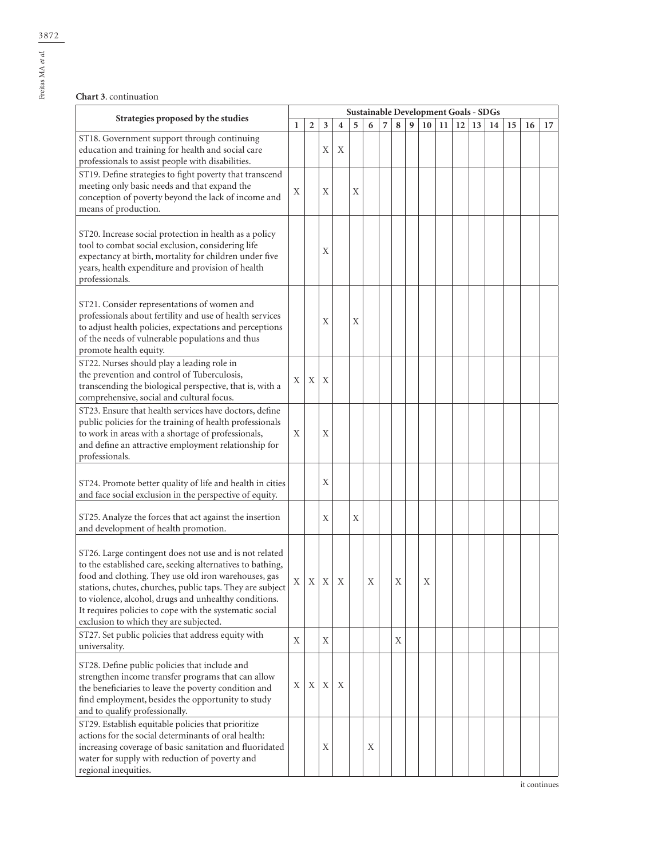|                                                                                                                                                                                                                                                                                                                                                                                                        |   |                |   |   |   |   |   |   |                  |    | Sustainable Development Goals - SDGs |    |    |    |    |    |    |
|--------------------------------------------------------------------------------------------------------------------------------------------------------------------------------------------------------------------------------------------------------------------------------------------------------------------------------------------------------------------------------------------------------|---|----------------|---|---|---|---|---|---|------------------|----|--------------------------------------|----|----|----|----|----|----|
| Strategies proposed by the studies                                                                                                                                                                                                                                                                                                                                                                     | 1 | $\overline{2}$ | 3 | 4 | 5 | 6 | 7 | 8 | $\boldsymbol{9}$ | 10 | 11                                   | 12 | 13 | 14 | 15 | 16 | 17 |
| ST18. Government support through continuing<br>education and training for health and social care<br>professionals to assist people with disabilities.                                                                                                                                                                                                                                                  |   |                | Χ | Χ |   |   |   |   |                  |    |                                      |    |    |    |    |    |    |
| ST19. Define strategies to fight poverty that transcend<br>meeting only basic needs and that expand the<br>conception of poverty beyond the lack of income and<br>means of production.                                                                                                                                                                                                                 | Χ |                | Χ |   | Χ |   |   |   |                  |    |                                      |    |    |    |    |    |    |
| ST20. Increase social protection in health as a policy<br>tool to combat social exclusion, considering life<br>expectancy at birth, mortality for children under five<br>years, health expenditure and provision of health<br>professionals.                                                                                                                                                           |   |                | Χ |   |   |   |   |   |                  |    |                                      |    |    |    |    |    |    |
| ST21. Consider representations of women and<br>professionals about fertility and use of health services<br>to adjust health policies, expectations and perceptions<br>of the needs of vulnerable populations and thus<br>promote health equity.                                                                                                                                                        |   |                | Χ |   | Χ |   |   |   |                  |    |                                      |    |    |    |    |    |    |
| ST22. Nurses should play a leading role in<br>the prevention and control of Tuberculosis,<br>transcending the biological perspective, that is, with a<br>comprehensive, social and cultural focus.                                                                                                                                                                                                     | Χ | Χ              | X |   |   |   |   |   |                  |    |                                      |    |    |    |    |    |    |
| ST23. Ensure that health services have doctors, define<br>public policies for the training of health professionals<br>to work in areas with a shortage of professionals,<br>and define an attractive employment relationship for<br>professionals.                                                                                                                                                     | X |                | Χ |   |   |   |   |   |                  |    |                                      |    |    |    |    |    |    |
| ST24. Promote better quality of life and health in cities<br>and face social exclusion in the perspective of equity.                                                                                                                                                                                                                                                                                   |   |                | Χ |   |   |   |   |   |                  |    |                                      |    |    |    |    |    |    |
| ST25. Analyze the forces that act against the insertion<br>and development of health promotion.                                                                                                                                                                                                                                                                                                        |   |                | Χ |   | Χ |   |   |   |                  |    |                                      |    |    |    |    |    |    |
| ST26. Large contingent does not use and is not related<br>to the established care, seeking alternatives to bathing,<br>food and clothing. They use old iron warehouses, gas<br>stations, chutes, churches, public taps. They are subject<br>to violence, alcohol, drugs and unhealthy conditions.<br>It requires policies to cope with the systematic social<br>exclusion to which they are subjected. | Χ | Χ              | Χ | X |   | Χ |   | Χ |                  | Χ  |                                      |    |    |    |    |    |    |
| ST27. Set public policies that address equity with<br>universality.                                                                                                                                                                                                                                                                                                                                    | Χ |                | X |   |   |   |   | Χ |                  |    |                                      |    |    |    |    |    |    |
| ST28. Define public policies that include and<br>strengthen income transfer programs that can allow<br>the beneficiaries to leave the poverty condition and<br>find employment, besides the opportunity to study<br>and to qualify professionally.                                                                                                                                                     | Χ | Χ              | Χ | Χ |   |   |   |   |                  |    |                                      |    |    |    |    |    |    |
| ST29. Establish equitable policies that prioritize<br>actions for the social determinants of oral health:<br>increasing coverage of basic sanitation and fluoridated<br>water for supply with reduction of poverty and<br>regional inequities.                                                                                                                                                         |   |                | Χ |   |   | Χ |   |   |                  |    |                                      |    |    |    |    |    |    |

Freitas MA *et al.*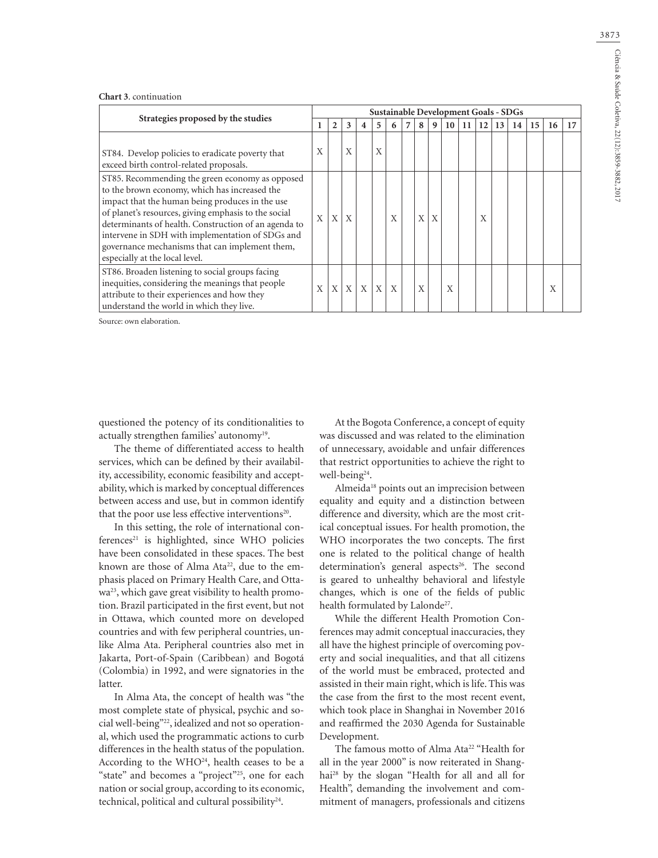|                                                                                                                                                                                                                                                                                                                                                                                                             | Sustainable Development Goals - SDGs |                |   |   |              |              |  |              |   |    |    |    |    |    |    |    |    |
|-------------------------------------------------------------------------------------------------------------------------------------------------------------------------------------------------------------------------------------------------------------------------------------------------------------------------------------------------------------------------------------------------------------|--------------------------------------|----------------|---|---|--------------|--------------|--|--------------|---|----|----|----|----|----|----|----|----|
| Strategies proposed by the studies                                                                                                                                                                                                                                                                                                                                                                          |                                      | $\overline{2}$ | 3 | 4 | 5            | 6            |  |              | 9 | 10 | 11 | 12 | 13 | 14 | 15 | 16 | 17 |
| ST84. Develop policies to eradicate poverty that<br>exceed birth control-related proposals.                                                                                                                                                                                                                                                                                                                 | X                                    |                | X |   | X            |              |  |              |   |    |    |    |    |    |    |    |    |
| ST85. Recommending the green economy as opposed<br>to the brown economy, which has increased the<br>impact that the human being produces in the use<br>of planet's resources, giving emphasis to the social<br>determinants of health. Construction of an agenda to<br>intervene in SDH with implementation of SDGs and<br>governance mechanisms that can implement them,<br>especially at the local level. | X                                    | X              | X |   |              | X            |  | $\mathbf{X}$ | X |    |    | X  |    |    |    |    |    |
| ST86. Broaden listening to social groups facing<br>inequities, considering the meanings that people<br>attribute to their experiences and how they<br>understand the world in which they live.                                                                                                                                                                                                              | $\mathbf{X}$                         | X              | X | X | $\mathbf{X}$ | $\mathbf{X}$ |  | X            |   | X  |    |    |    |    |    | X  |    |

Source: own elaboration.

questioned the potency of its conditionalities to actually strengthen families' autonomy<sup>19</sup>.

The theme of differentiated access to health services, which can be defined by their availability, accessibility, economic feasibility and acceptability, which is marked by conceptual differences between access and use, but in common identify that the poor use less effective interventions<sup>20</sup>.

In this setting, the role of international conferences<sup>21</sup> is highlighted, since WHO policies have been consolidated in these spaces. The best known are those of Alma Ata<sup>22</sup>, due to the emphasis placed on Primary Health Care, and Ottawa<sup>23</sup>, which gave great visibility to health promotion. Brazil participated in the first event, but not in Ottawa, which counted more on developed countries and with few peripheral countries, unlike Alma Ata. Peripheral countries also met in Jakarta, Port-of-Spain (Caribbean) and Bogotá (Colombia) in 1992, and were signatories in the latter.

In Alma Ata, the concept of health was "the most complete state of physical, psychic and social well-being"22, idealized and not so operational, which used the programmatic actions to curb differences in the health status of the population. According to the  $WHO^{24}$ , health ceases to be a "state" and becomes a "project"<sup>25</sup>, one for each nation or social group, according to its economic, technical, political and cultural possibility<sup>24</sup>.

At the Bogota Conference, a concept of equity was discussed and was related to the elimination of unnecessary, avoidable and unfair differences that restrict opportunities to achieve the right to well-being $24$ .

Almeida18 points out an imprecision between equality and equity and a distinction between difference and diversity, which are the most critical conceptual issues. For health promotion, the WHO incorporates the two concepts. The first one is related to the political change of health determination's general aspects<sup>26</sup>. The second is geared to unhealthy behavioral and lifestyle changes, which is one of the fields of public health formulated by Lalonde<sup>27</sup>.

While the different Health Promotion Conferences may admit conceptual inaccuracies, they all have the highest principle of overcoming poverty and social inequalities, and that all citizens of the world must be embraced, protected and assisted in their main right, which is life. This was the case from the first to the most recent event, which took place in Shanghai in November 2016 and reaffirmed the 2030 Agenda for Sustainable Development.

The famous motto of Alma Ata<sup>22</sup> "Health for all in the year 2000" is now reiterated in Shanghai28 by the slogan "Health for all and all for Health", demanding the involvement and commitment of managers, professionals and citizens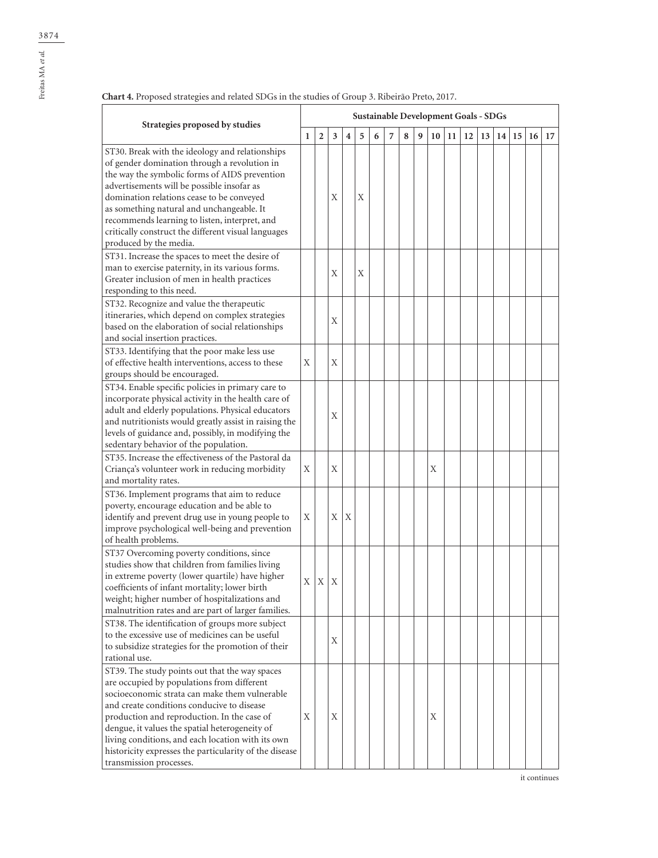|                                                                                                                                                                                                                                                                                                                                                                                                             |   |                |   |                         |   |   |   |   |   |    |    | Sustainable Development Goals - SDGs |    |                 |    |    |    |
|-------------------------------------------------------------------------------------------------------------------------------------------------------------------------------------------------------------------------------------------------------------------------------------------------------------------------------------------------------------------------------------------------------------|---|----------------|---|-------------------------|---|---|---|---|---|----|----|--------------------------------------|----|-----------------|----|----|----|
| Strategies proposed by studies                                                                                                                                                                                                                                                                                                                                                                              |   | $\overline{2}$ | 3 | $\overline{\mathbf{4}}$ | 5 | 6 | 7 | 8 | 9 | 10 | 11 | 12                                   | 13 | 14 <sup>1</sup> | 15 | 16 | 17 |
| ST30. Break with the ideology and relationships<br>of gender domination through a revolution in<br>the way the symbolic forms of AIDS prevention<br>advertisements will be possible insofar as<br>domination relations cease to be conveyed                                                                                                                                                                 |   |                | Χ |                         | X |   |   |   |   |    |    |                                      |    |                 |    |    |    |
| as something natural and unchangeable. It<br>recommends learning to listen, interpret, and<br>critically construct the different visual languages<br>produced by the media.                                                                                                                                                                                                                                 |   |                |   |                         |   |   |   |   |   |    |    |                                      |    |                 |    |    |    |
| ST31. Increase the spaces to meet the desire of<br>man to exercise paternity, in its various forms.<br>Greater inclusion of men in health practices<br>responding to this need.                                                                                                                                                                                                                             |   |                | Χ |                         | Х |   |   |   |   |    |    |                                      |    |                 |    |    |    |
| ST32. Recognize and value the therapeutic<br>itineraries, which depend on complex strategies<br>based on the elaboration of social relationships<br>and social insertion practices.                                                                                                                                                                                                                         |   |                | Χ |                         |   |   |   |   |   |    |    |                                      |    |                 |    |    |    |
| ST33. Identifying that the poor make less use<br>of effective health interventions, access to these<br>groups should be encouraged.                                                                                                                                                                                                                                                                         | Χ |                | Χ |                         |   |   |   |   |   |    |    |                                      |    |                 |    |    |    |
| ST34. Enable specific policies in primary care to<br>incorporate physical activity in the health care of<br>adult and elderly populations. Physical educators<br>and nutritionists would greatly assist in raising the<br>levels of guidance and, possibly, in modifying the<br>sedentary behavior of the population.                                                                                       |   |                | Χ |                         |   |   |   |   |   |    |    |                                      |    |                 |    |    |    |
| ST35. Increase the effectiveness of the Pastoral da<br>Criança's volunteer work in reducing morbidity<br>and mortality rates.                                                                                                                                                                                                                                                                               | Χ |                | Χ |                         |   |   |   |   |   | Χ  |    |                                      |    |                 |    |    |    |
| ST36. Implement programs that aim to reduce<br>poverty, encourage education and be able to<br>identify and prevent drug use in young people to<br>improve psychological well-being and prevention<br>of health problems.                                                                                                                                                                                    | Χ |                | Χ | X                       |   |   |   |   |   |    |    |                                      |    |                 |    |    |    |
| ST37 Overcoming poverty conditions, since<br>studies show that children from families living<br>in extreme poverty (lower quartile) have higher<br>coefficients of infant mortality; lower birth<br>weight; higher number of hospitalizations and<br>malnutrition rates and are part of larger families.                                                                                                    | Χ | Χ              | Χ |                         |   |   |   |   |   |    |    |                                      |    |                 |    |    |    |
| ST38. The identification of groups more subject<br>to the excessive use of medicines can be useful<br>to subsidize strategies for the promotion of their<br>rational use.                                                                                                                                                                                                                                   |   |                | Χ |                         |   |   |   |   |   |    |    |                                      |    |                 |    |    |    |
| ST39. The study points out that the way spaces<br>are occupied by populations from different<br>socioeconomic strata can make them vulnerable<br>and create conditions conducive to disease<br>production and reproduction. In the case of<br>dengue, it values the spatial heterogeneity of<br>living conditions, and each location with its own<br>historicity expresses the particularity of the disease | Χ |                | Χ |                         |   |   |   |   |   | Χ  |    |                                      |    |                 |    |    |    |

# **Chart 4.** Proposed strategies and related SDGs in the studies of Group 3. Ribeirão Preto, 2017.

transmission processes.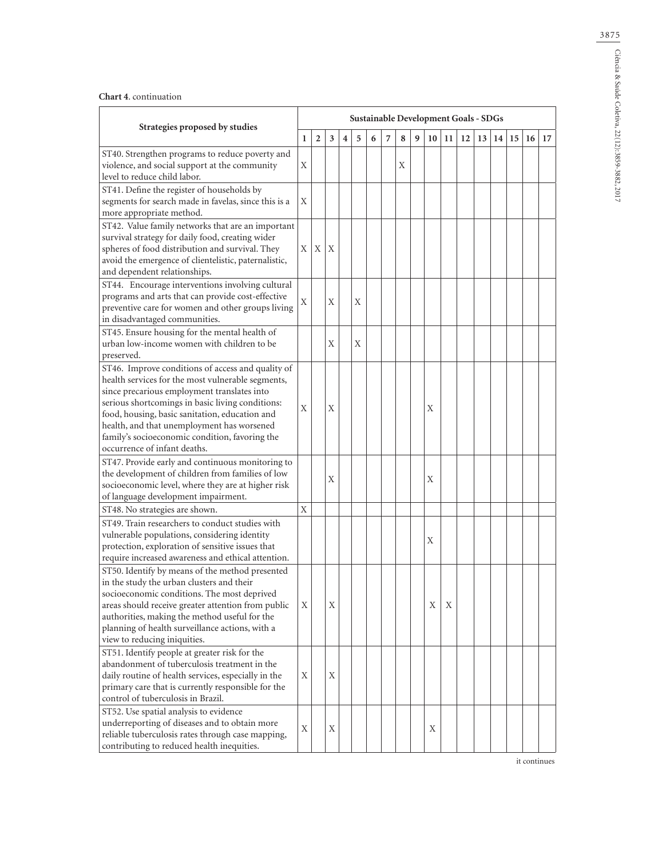| Strategies proposed by studies                                                                                                                                                                                                                                                                                                                                                              |   |                |   |                         |   |   |   |   |   |    |    | Sustainable Development Goals - SDGs |    |    |    |    |    |
|---------------------------------------------------------------------------------------------------------------------------------------------------------------------------------------------------------------------------------------------------------------------------------------------------------------------------------------------------------------------------------------------|---|----------------|---|-------------------------|---|---|---|---|---|----|----|--------------------------------------|----|----|----|----|----|
|                                                                                                                                                                                                                                                                                                                                                                                             | 1 | $\overline{2}$ | 3 | $\overline{\mathbf{4}}$ | 5 | 6 | 7 | 8 | 9 | 10 | 11 | 12                                   | 13 | 14 | 15 | 16 | 17 |
| ST40. Strengthen programs to reduce poverty and<br>violence, and social support at the community<br>level to reduce child labor.                                                                                                                                                                                                                                                            | X |                |   |                         |   |   |   | Χ |   |    |    |                                      |    |    |    |    |    |
| ST41. Define the register of households by<br>segments for search made in favelas, since this is a<br>more appropriate method.                                                                                                                                                                                                                                                              | X |                |   |                         |   |   |   |   |   |    |    |                                      |    |    |    |    |    |
| ST42. Value family networks that are an important<br>survival strategy for daily food, creating wider<br>spheres of food distribution and survival. They<br>avoid the emergence of clientelistic, paternalistic,<br>and dependent relationships.                                                                                                                                            | X | X              | X |                         |   |   |   |   |   |    |    |                                      |    |    |    |    |    |
| ST44. Encourage interventions involving cultural<br>programs and arts that can provide cost-effective<br>preventive care for women and other groups living<br>in disadvantaged communities.                                                                                                                                                                                                 | X |                | Χ |                         | Χ |   |   |   |   |    |    |                                      |    |    |    |    |    |
| ST45. Ensure housing for the mental health of<br>urban low-income women with children to be<br>preserved.                                                                                                                                                                                                                                                                                   |   |                | Χ |                         | X |   |   |   |   |    |    |                                      |    |    |    |    |    |
| ST46. Improve conditions of access and quality of<br>health services for the most vulnerable segments,<br>since precarious employment translates into<br>serious shortcomings in basic living conditions:<br>food, housing, basic sanitation, education and<br>health, and that unemployment has worsened<br>family's socioeconomic condition, favoring the<br>occurrence of infant deaths. | X |                | Χ |                         |   |   |   |   |   | Х  |    |                                      |    |    |    |    |    |
| ST47. Provide early and continuous monitoring to<br>the development of children from families of low<br>socioeconomic level, where they are at higher risk<br>of language development impairment.                                                                                                                                                                                           |   |                | Χ |                         |   |   |   |   |   | X  |    |                                      |    |    |    |    |    |
| ST48. No strategies are shown.                                                                                                                                                                                                                                                                                                                                                              | X |                |   |                         |   |   |   |   |   |    |    |                                      |    |    |    |    |    |
| ST49. Train researchers to conduct studies with<br>vulnerable populations, considering identity<br>protection, exploration of sensitive issues that<br>require increased awareness and ethical attention.                                                                                                                                                                                   |   |                |   |                         |   |   |   |   |   | Х  |    |                                      |    |    |    |    |    |
| ST50. Identify by means of the method presented<br>in the study the urban clusters and their<br>socioeconomic conditions. The most deprived<br>areas should receive greater attention from public<br>authorities, making the method useful for the<br>planning of health surveillance actions, with a<br>view to reducing iniquities.                                                       | X |                | X |                         |   |   |   |   |   | Χ  | Χ  |                                      |    |    |    |    |    |
| ST51. Identify people at greater risk for the<br>abandonment of tuberculosis treatment in the<br>daily routine of health services, especially in the<br>primary care that is currently responsible for the<br>control of tuberculosis in Brazil.                                                                                                                                            | Χ |                | Χ |                         |   |   |   |   |   |    |    |                                      |    |    |    |    |    |
| ST52. Use spatial analysis to evidence<br>underreporting of diseases and to obtain more<br>reliable tuberculosis rates through case mapping,<br>contributing to reduced health inequities.                                                                                                                                                                                                  | X |                | Χ |                         |   |   |   |   |   | Χ  |    |                                      |    |    |    |    |    |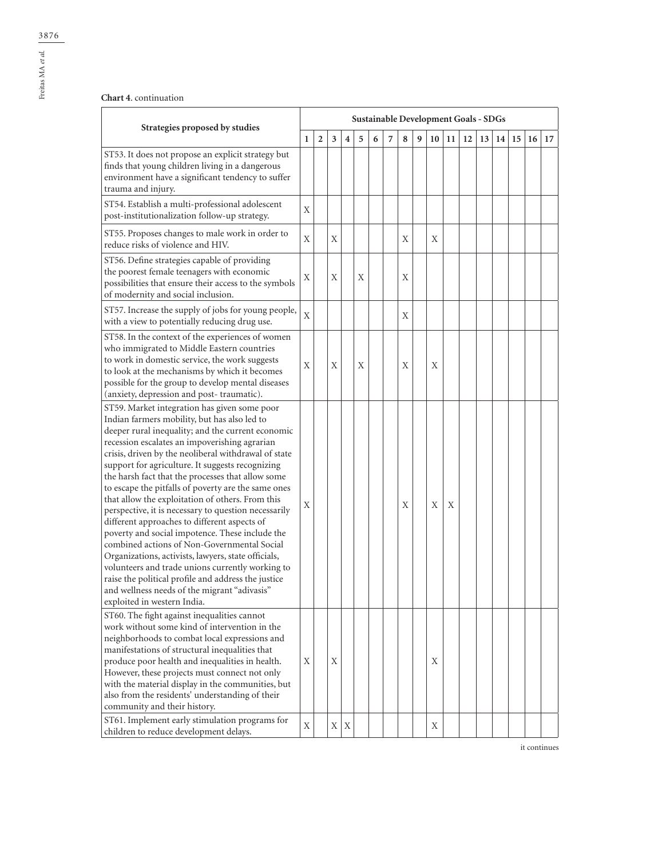| Strategies proposed by studies                                                                                                                                                                                                                                                                                                                                                                                                                                                                                                                                                                                                                                                                                                                                                                                                                                                                                                            |             |                |   |                         |   |   |   |   |   |    |    | Sustainable Development Goals - SDGs |    |    |    |    |    |
|-------------------------------------------------------------------------------------------------------------------------------------------------------------------------------------------------------------------------------------------------------------------------------------------------------------------------------------------------------------------------------------------------------------------------------------------------------------------------------------------------------------------------------------------------------------------------------------------------------------------------------------------------------------------------------------------------------------------------------------------------------------------------------------------------------------------------------------------------------------------------------------------------------------------------------------------|-------------|----------------|---|-------------------------|---|---|---|---|---|----|----|--------------------------------------|----|----|----|----|----|
|                                                                                                                                                                                                                                                                                                                                                                                                                                                                                                                                                                                                                                                                                                                                                                                                                                                                                                                                           | 1           | $\overline{2}$ | 3 | $\overline{\mathbf{4}}$ | 5 | 6 | 7 | 8 | 9 | 10 | 11 | 12                                   | 13 | 14 | 15 | 16 | 17 |
| ST53. It does not propose an explicit strategy but<br>finds that young children living in a dangerous<br>environment have a significant tendency to suffer<br>trauma and injury.                                                                                                                                                                                                                                                                                                                                                                                                                                                                                                                                                                                                                                                                                                                                                          |             |                |   |                         |   |   |   |   |   |    |    |                                      |    |    |    |    |    |
| ST54. Establish a multi-professional adolescent<br>post-institutionalization follow-up strategy.                                                                                                                                                                                                                                                                                                                                                                                                                                                                                                                                                                                                                                                                                                                                                                                                                                          | X           |                |   |                         |   |   |   |   |   |    |    |                                      |    |    |    |    |    |
| ST55. Proposes changes to male work in order to<br>reduce risks of violence and HIV.                                                                                                                                                                                                                                                                                                                                                                                                                                                                                                                                                                                                                                                                                                                                                                                                                                                      | X           |                | Χ |                         |   |   |   | Χ |   | X  |    |                                      |    |    |    |    |    |
| ST56. Define strategies capable of providing<br>the poorest female teenagers with economic<br>possibilities that ensure their access to the symbols<br>of modernity and social inclusion.                                                                                                                                                                                                                                                                                                                                                                                                                                                                                                                                                                                                                                                                                                                                                 | Х           |                | Χ |                         | Χ |   |   | Χ |   |    |    |                                      |    |    |    |    |    |
| ST57. Increase the supply of jobs for young people,<br>with a view to potentially reducing drug use.                                                                                                                                                                                                                                                                                                                                                                                                                                                                                                                                                                                                                                                                                                                                                                                                                                      | X           |                |   |                         |   |   |   | Χ |   |    |    |                                      |    |    |    |    |    |
| ST58. In the context of the experiences of women<br>who immigrated to Middle Eastern countries<br>to work in domestic service, the work suggests<br>to look at the mechanisms by which it becomes<br>possible for the group to develop mental diseases<br>(anxiety, depression and post-traumatic).                                                                                                                                                                                                                                                                                                                                                                                                                                                                                                                                                                                                                                       | X           |                | Χ |                         | Χ |   |   | Χ |   | Χ  |    |                                      |    |    |    |    |    |
| ST59. Market integration has given some poor<br>Indian farmers mobility, but has also led to<br>deeper rural inequality; and the current economic<br>recession escalates an impoverishing agrarian<br>crisis, driven by the neoliberal withdrawal of state<br>support for agriculture. It suggests recognizing<br>the harsh fact that the processes that allow some<br>to escape the pitfalls of poverty are the same ones<br>that allow the exploitation of others. From this<br>perspective, it is necessary to question necessarily<br>different approaches to different aspects of<br>poverty and social impotence. These include the<br>combined actions of Non-Governmental Social<br>Organizations, activists, lawyers, state officials,<br>volunteers and trade unions currently working to<br>raise the political profile and address the justice<br>and wellness needs of the migrant "adivasis"<br>exploited in western India. | Χ           |                |   |                         |   |   |   | Χ |   | Χ  | Χ  |                                      |    |    |    |    |    |
| ST60. The fight against inequalities cannot<br>work without some kind of intervention in the<br>neighborhoods to combat local expressions and<br>manifestations of structural inequalities that<br>produce poor health and inequalities in health.<br>However, these projects must connect not only<br>with the material display in the communities, but<br>also from the residents' understanding of their<br>community and their history.                                                                                                                                                                                                                                                                                                                                                                                                                                                                                               | X           |                | Χ |                         |   |   |   |   |   | X  |    |                                      |    |    |    |    |    |
| ST61. Implement early stimulation programs for<br>children to reduce development delays.                                                                                                                                                                                                                                                                                                                                                                                                                                                                                                                                                                                                                                                                                                                                                                                                                                                  | $\mathbf X$ |                |   | X X                     |   |   |   |   |   | Χ  |    |                                      |    |    |    |    |    |

 $\frac{3876}{\text{ii}}$  <br>  $\frac{3876}{\text{ii}}$ 

Freitas MA *et al.*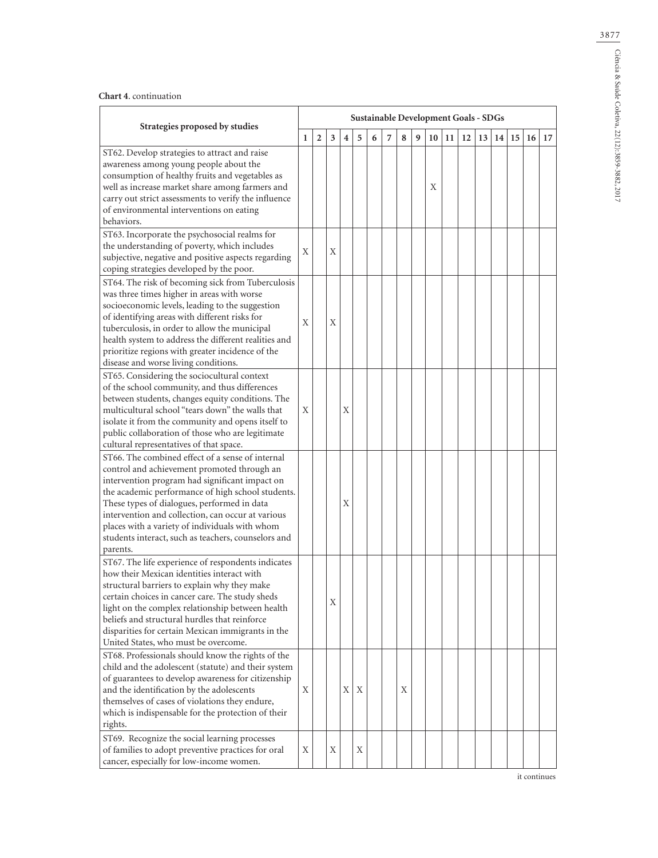| Strategies proposed by studies                                                                                                                                                                                                                                                                                                                                                                                                  |   |                |   |                         |   |   |                |   |   |    |    | Sustainable Development Goals - SDGs |    |    |    |    |    |
|---------------------------------------------------------------------------------------------------------------------------------------------------------------------------------------------------------------------------------------------------------------------------------------------------------------------------------------------------------------------------------------------------------------------------------|---|----------------|---|-------------------------|---|---|----------------|---|---|----|----|--------------------------------------|----|----|----|----|----|
|                                                                                                                                                                                                                                                                                                                                                                                                                                 | 1 | $\overline{2}$ | 3 | $\overline{\mathbf{4}}$ | 5 | 6 | $\overline{7}$ | 8 | 9 | 10 | 11 | 12                                   | 13 | 14 | 15 | 16 | 17 |
| ST62. Develop strategies to attract and raise<br>awareness among young people about the<br>consumption of healthy fruits and vegetables as<br>well as increase market share among farmers and<br>carry out strict assessments to verify the influence<br>of environmental interventions on eating<br>behaviors.                                                                                                                 |   |                |   |                         |   |   |                |   |   | Χ  |    |                                      |    |    |    |    |    |
| ST63. Incorporate the psychosocial realms for<br>the understanding of poverty, which includes<br>subjective, negative and positive aspects regarding<br>coping strategies developed by the poor.                                                                                                                                                                                                                                | X |                | X |                         |   |   |                |   |   |    |    |                                      |    |    |    |    |    |
| ST64. The risk of becoming sick from Tuberculosis<br>was three times higher in areas with worse<br>socioeconomic levels, leading to the suggestion<br>of identifying areas with different risks for<br>tuberculosis, in order to allow the municipal<br>health system to address the different realities and<br>prioritize regions with greater incidence of the<br>disease and worse living conditions.                        | X |                | X |                         |   |   |                |   |   |    |    |                                      |    |    |    |    |    |
| ST65. Considering the sociocultural context<br>of the school community, and thus differences<br>between students, changes equity conditions. The<br>multicultural school "tears down" the walls that<br>isolate it from the community and opens itself to<br>public collaboration of those who are legitimate<br>cultural representatives of that space.                                                                        | X |                |   | Χ                       |   |   |                |   |   |    |    |                                      |    |    |    |    |    |
| ST66. The combined effect of a sense of internal<br>control and achievement promoted through an<br>intervention program had significant impact on<br>the academic performance of high school students.<br>These types of dialogues, performed in data<br>intervention and collection, can occur at various<br>places with a variety of individuals with whom<br>students interact, such as teachers, counselors and<br>parents. |   |                |   | Χ                       |   |   |                |   |   |    |    |                                      |    |    |    |    |    |
| ST67. The life experience of respondents indicates<br>how their Mexican identities interact with<br>structural barriers to explain why they make<br>certain choices in cancer care. The study sheds<br>light on the complex relationship between health<br>beliefs and structural hurdles that reinforce<br>disparities for certain Mexican immigrants in the<br>United States, who must be overcome.                           |   |                | Χ |                         |   |   |                |   |   |    |    |                                      |    |    |    |    |    |
| ST68. Professionals should know the rights of the<br>child and the adolescent (statute) and their system<br>of guarantees to develop awareness for citizenship<br>and the identification by the adolescents<br>themselves of cases of violations they endure,<br>which is indispensable for the protection of their<br>rights.                                                                                                  | X |                |   | Χ                       | Х |   |                | Χ |   |    |    |                                      |    |    |    |    |    |
| ST69. Recognize the social learning processes<br>of families to adopt preventive practices for oral<br>cancer, especially for low-income women.                                                                                                                                                                                                                                                                                 | X |                | X |                         | X |   |                |   |   |    |    |                                      |    |    |    |    |    |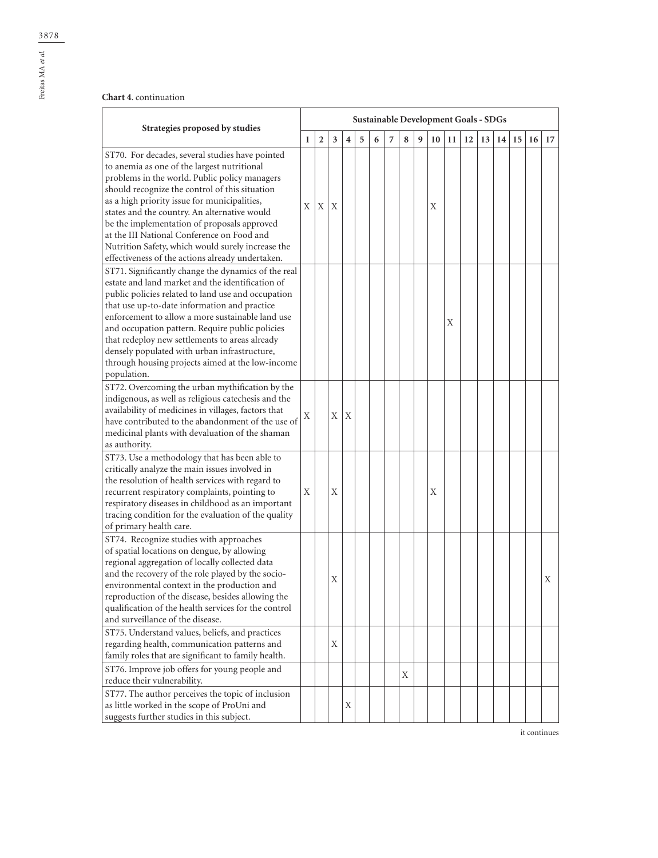| Strategies proposed by studies                                                                                                                                                                                                                                                                                                                                                                                                                                                                          |   |              |   |                         |   |   |   |   |   |    |    | Sustainable Development Goals - SDGs |    |    |    |    |    |
|---------------------------------------------------------------------------------------------------------------------------------------------------------------------------------------------------------------------------------------------------------------------------------------------------------------------------------------------------------------------------------------------------------------------------------------------------------------------------------------------------------|---|--------------|---|-------------------------|---|---|---|---|---|----|----|--------------------------------------|----|----|----|----|----|
|                                                                                                                                                                                                                                                                                                                                                                                                                                                                                                         | 1 | $\mathbf{2}$ | 3 | $\overline{\mathbf{4}}$ | 5 | 6 | 7 | 8 | 9 | 10 | 11 | 12                                   | 13 | 14 | 15 | 16 | 17 |
| ST70. For decades, several studies have pointed<br>to anemia as one of the largest nutritional<br>problems in the world. Public policy managers<br>should recognize the control of this situation<br>as a high priority issue for municipalities,<br>states and the country. An alternative would<br>be the implementation of proposals approved<br>at the III National Conference on Food and<br>Nutrition Safety, which would surely increase the<br>effectiveness of the actions already undertaken. | Χ | X            | Χ |                         |   |   |   |   |   | Χ  |    |                                      |    |    |    |    |    |
| ST71. Significantly change the dynamics of the real<br>estate and land market and the identification of<br>public policies related to land use and occupation<br>that use up-to-date information and practice<br>enforcement to allow a more sustainable land use<br>and occupation pattern. Require public policies<br>that redeploy new settlements to areas already<br>densely populated with urban infrastructure,<br>through housing projects aimed at the low-income<br>population.               |   |              |   |                         |   |   |   |   |   |    | Χ  |                                      |    |    |    |    |    |
| ST72. Overcoming the urban mythification by the<br>indigenous, as well as religious catechesis and the<br>availability of medicines in villages, factors that<br>have contributed to the abandonment of the use of<br>medicinal plants with devaluation of the shaman<br>as authority.                                                                                                                                                                                                                  | Χ |              | Χ | X                       |   |   |   |   |   |    |    |                                      |    |    |    |    |    |
| ST73. Use a methodology that has been able to<br>critically analyze the main issues involved in<br>the resolution of health services with regard to<br>recurrent respiratory complaints, pointing to<br>respiratory diseases in childhood as an important<br>tracing condition for the evaluation of the quality<br>of primary health care.                                                                                                                                                             | Χ |              | Χ |                         |   |   |   |   |   | Χ  |    |                                      |    |    |    |    |    |
| ST74. Recognize studies with approaches<br>of spatial locations on dengue, by allowing<br>regional aggregation of locally collected data<br>and the recovery of the role played by the socio-<br>environmental context in the production and<br>reproduction of the disease, besides allowing the<br>qualification of the health services for the control<br>and surveillance of the disease.                                                                                                           |   |              | Χ |                         |   |   |   |   |   |    |    |                                      |    |    |    |    | Χ  |
| ST75. Understand values, beliefs, and practices<br>regarding health, communication patterns and<br>family roles that are significant to family health.                                                                                                                                                                                                                                                                                                                                                  |   |              | Χ |                         |   |   |   |   |   |    |    |                                      |    |    |    |    |    |
| ST76. Improve job offers for young people and<br>reduce their vulnerability.                                                                                                                                                                                                                                                                                                                                                                                                                            |   |              |   |                         |   |   |   | X |   |    |    |                                      |    |    |    |    |    |
| ST77. The author perceives the topic of inclusion<br>as little worked in the scope of ProUni and<br>suggests further studies in this subject.                                                                                                                                                                                                                                                                                                                                                           |   |              |   | Χ                       |   |   |   |   |   |    |    |                                      |    |    |    |    |    |

 $\frac{3878}{\text{ii} \cdot \text{ii} \cdot \text{iii}}$ 

Freitas MA *et al.*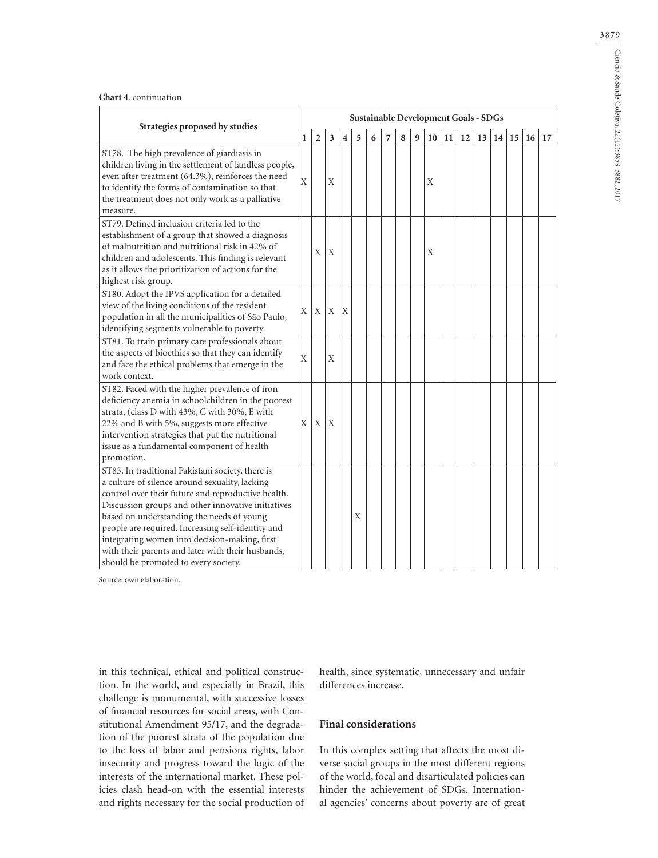| Strategies proposed by studies                                                                                                                                                                                                                                                                                                                                                                                                                                 |   |                |                         |   |   |   |   |   |   |    |    | Sustainable Development Goals - SDGs |    |    |    |    |    |
|----------------------------------------------------------------------------------------------------------------------------------------------------------------------------------------------------------------------------------------------------------------------------------------------------------------------------------------------------------------------------------------------------------------------------------------------------------------|---|----------------|-------------------------|---|---|---|---|---|---|----|----|--------------------------------------|----|----|----|----|----|
|                                                                                                                                                                                                                                                                                                                                                                                                                                                                | 1 | $\overline{2}$ | $\overline{\mathbf{3}}$ | 4 | 5 | 6 | 7 | 8 | 9 | 10 | 11 | 12                                   | 13 | 14 | 15 | 16 | 17 |
| ST78. The high prevalence of giardiasis in<br>children living in the settlement of landless people,<br>even after treatment (64.3%), reinforces the need<br>to identify the forms of contamination so that<br>the treatment does not only work as a palliative<br>measure.                                                                                                                                                                                     | X |                | X                       |   |   |   |   |   |   | Χ  |    |                                      |    |    |    |    |    |
| ST79. Defined inclusion criteria led to the<br>establishment of a group that showed a diagnosis<br>of malnutrition and nutritional risk in 42% of<br>children and adolescents. This finding is relevant<br>as it allows the prioritization of actions for the<br>highest risk group.                                                                                                                                                                           |   | X              | X                       |   |   |   |   |   |   | Χ  |    |                                      |    |    |    |    |    |
| ST80. Adopt the IPVS application for a detailed<br>view of the living conditions of the resident<br>population in all the municipalities of São Paulo,<br>identifying segments vulnerable to poverty.                                                                                                                                                                                                                                                          | X | X              | X                       | X |   |   |   |   |   |    |    |                                      |    |    |    |    |    |
| ST81. To train primary care professionals about<br>the aspects of bioethics so that they can identify<br>and face the ethical problems that emerge in the<br>work context.                                                                                                                                                                                                                                                                                     | X |                | X                       |   |   |   |   |   |   |    |    |                                      |    |    |    |    |    |
| ST82. Faced with the higher prevalence of iron<br>deficiency anemia in schoolchildren in the poorest<br>strata, (class D with 43%, C with 30%, E with<br>22% and B with 5%, suggests more effective<br>intervention strategies that put the nutritional<br>issue as a fundamental component of health<br>promotion.                                                                                                                                            | X | X              | X                       |   |   |   |   |   |   |    |    |                                      |    |    |    |    |    |
| ST83. In traditional Pakistani society, there is<br>a culture of silence around sexuality, lacking<br>control over their future and reproductive health.<br>Discussion groups and other innovative initiatives<br>based on understanding the needs of young<br>people are required. Increasing self-identity and<br>integrating women into decision-making, first<br>with their parents and later with their husbands,<br>should be promoted to every society. |   |                |                         |   | Χ |   |   |   |   |    |    |                                      |    |    |    |    |    |

Source: own elaboration.

in this technical, ethical and political construction. In the world, and especially in Brazil, this challenge is monumental, with successive losses of financial resources for social areas, with Constitutional Amendment 95/17, and the degradation of the poorest strata of the population due to the loss of labor and pensions rights, labor insecurity and progress toward the logic of the interests of the international market. These policies clash head-on with the essential interests and rights necessary for the social production of health, since systematic, unnecessary and unfair differences increase.

### **Final considerations**

In this complex setting that affects the most diverse social groups in the most different regions of the world, focal and disarticulated policies can hinder the achievement of SDGs. International agencies' concerns about poverty are of great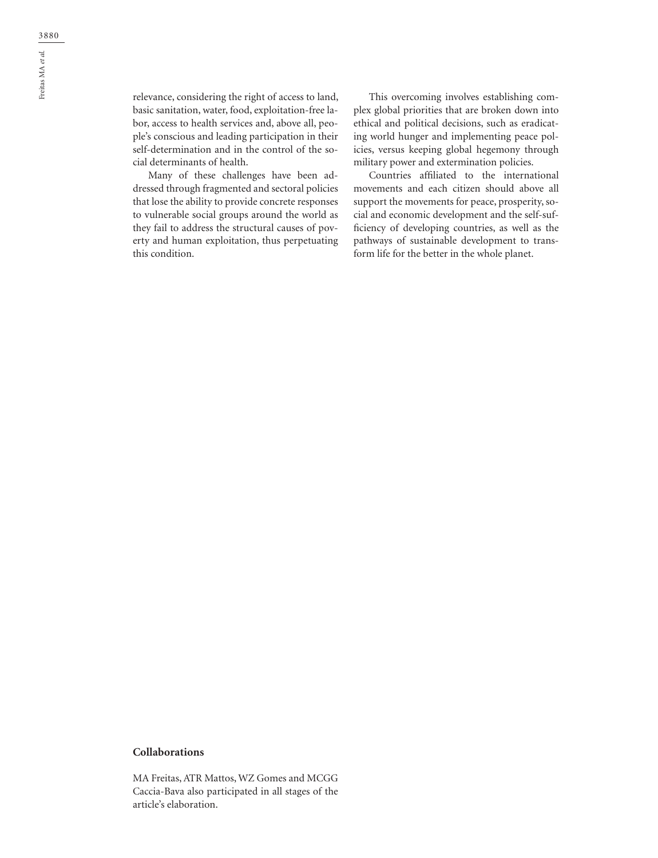relevance, considering the right of access to land, basic sanitation, water, food, exploitation-free labor, access to health services and, above all, people's conscious and leading participation in their self-determination and in the control of the social determinants of health.

Many of these challenges have been addressed through fragmented and sectoral policies that lose the ability to provide concrete responses to vulnerable social groups around the world as they fail to address the structural causes of poverty and human exploitation, thus perpetuating this condition.

This overcoming involves establishing complex global priorities that are broken down into ethical and political decisions, such as eradicating world hunger and implementing peace policies, versus keeping global hegemony through military power and extermination policies.

Countries affiliated to the international movements and each citizen should above all support the movements for peace, prosperity, social and economic development and the self-sufficiency of developing countries, as well as the pathways of sustainable development to transform life for the better in the whole planet.

## **Collaborations**

MA Freitas, ATR Mattos, WZ Gomes and MCGG Caccia-Bava also participated in all stages of the article's elaboration.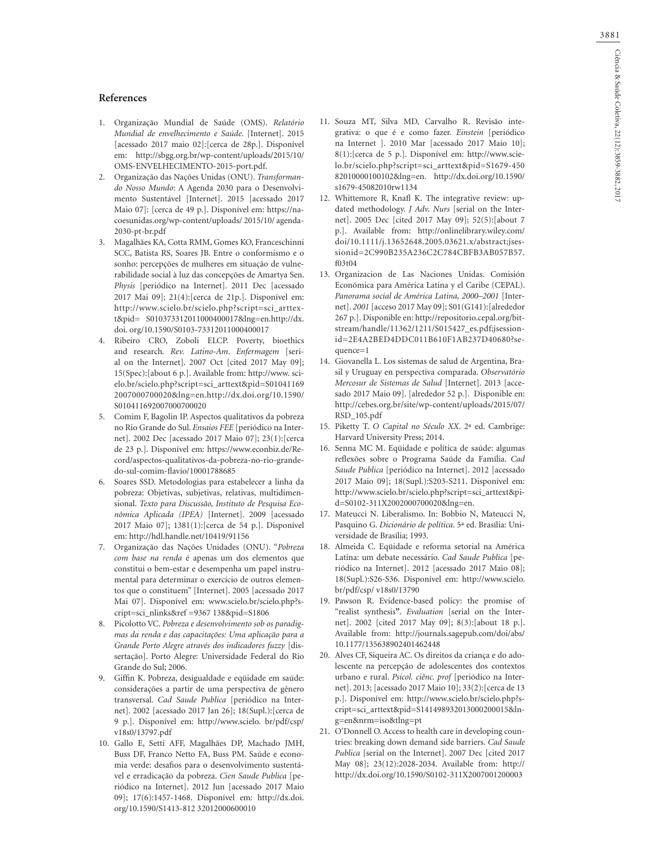#### **References**

- 1. Organização Mundial de Saúde (OMS). *Relatório Mundial de envelhecimento e Saúde*. [Internet]. 2015 [acessado 2017 maio 02]:[cerca de 28p.]. Disponível em: http://sbgg.org.br/wp-content/uploads/2015/10/ OMS-ENVELHECIMENTO-2015-port.pdf.
- 2. Organização das Nações Unidas (ONU). *Transformando Nosso Mundo*: A Agenda 2030 para o Desenvolvimento Sustentável [Internet]. 2015 [acessado 2017 Maio 07]: [cerca de 49 p.]. Disponível em: https://nacoesunidas.org/wp-content/uploads/ 2015/10/ agenda-2030-pt-br.pdf
- 3. Magalhães KA, Cotta RMM, Gomes KO, Franceschinni SCC, Batista RS, Soares JB. Entre o conformismo e o sonho: percepções de mulheres em situação de vulnerabilidade social à luz das concepções de Amartya Sen. *Physis* [periódico na Internet]. 2011 Dec [acessado 2017 Mai 09]; 21(4):[cerca de 21p.]. Disponível em: http://www.scielo.br/scielo.php?script=sci\_arttext&pid= S010373312011000400017&lng=en.http://dx. doi. org/10.1590/S0103-73312011000400017
- 4. Ribeiro CRO, Zoboli ELCP. Poverty, bioethics and research. *Rev. Latino-Am*. *Enfermagem* [serial on the Internet]. 2007 Oct [cited 2017 May 09]; 15(Spec):[about 6 p.]. Available from: http://www. scielo.br/scielo.php?script=sci\_arttext&pid=S01041169 2007000700020&lng=en.http://dx.doi.org/10.1590/ S010411692007000700020
- 5. Comim F, Bagolin IP. Aspectos qualitativos da pobreza no Rio Grande do Sul. *Ensaios FEE* [periódico na Internet]. 2002 Dec [acessado 2017 Maio 07]; 23(1):[cerca de 23 p.]. Disponível em: https://www.econbiz.de/Record/aspectos-qualitativos-da-pobreza-no-rio-grandedo-sul-comim-flavio/10001788685
- 6. Soares SSD. Metodologias para estabelecer a linha da pobreza: Objetivas, subjetivas, relativas, multidimensional. *Texto para Discussão, Instituto de Pesquisa Econômica Aplicada (IPEA)* [Internet]. 2009 [acessado 2017 Maio 07]; 1381(1):[cerca de 54 p.]. Disponível em: http://hdl.handle.net/10419/91156
- 7. Organização das Nações Unidades (ONU). "*Pobreza com base na renda* é apenas um dos elementos que constitui o bem-estar e desempenha um papel instrumental para determinar o exercício de outros elementos que o constituem" [Internet]. 2005 [acessado 2017 Mai 07]. Disponível em: www.scielo.br/scielo.php?script=sci\_nlinks&ref =9367 138&pid=S1806
- 8. Picolotto VC. *Pobreza e desenvolvimento sob os paradigmas da renda e das capacitações: Uma aplicação para a Grande Porto Alegre através dos indicadores fuzzy* [dissertação]. Porto Alegre: Universidade Federal do Rio Grande do Sul; 2006.
- 9. Giffin K. Pobreza, desigualdade e eqüidade em saúde: considerações a partir de uma perspectiva de gênero transversal. *Cad Saude Publica* [periódico na Internet]. 2002 [acessado 2017 Jan 26]; 18(Supl.):[cerca de 9 p.]. Disponível em: http://www.scielo. br/pdf/csp/ v18s0/13797.pdf
- 10. Gallo E, Setti AFF, Magalhães DP, Machado JMH, Buss DF, Franco Netto FA, Buss PM. Saúde e economia verde: desafios para o desenvolvimento sustentável e erradicação da pobreza. *Cien Saude Publica* [periódico na Internet]. 2012 Jun [acessado 2017 Maio 09]; 17(6):1457-1468. Disponível em: http://dx.doi. org/10.1590/S1413-812 32012000600010
- 11. Souza MT, Silva MD, Carvalho R. Revisão integrativa: o que é e como fazer. *Einstein* [periódico na Internet ]. 2010 Mar [acessado 2017 Maio 10]; 8(1):[cerca de 5 p.]. Disponível em: http://www.scielo.br/scielo.php?script=sci\_arttext&pid=S1679-450 82010000100102&lng=en. http://dx.doi.org/10.1590/ s1679-45082010rw1134
- 12. Whittemore R, Knafl K. The integrative review: updated methodology. *J Adv. Nurs* [serial on the Internet]. 2005 Dec [cited 2017 May 09]; 52(5):[about 7 p.]. Available from: http://onlinelibrary.wiley.com/ doi/10.1111/j.13652648.2005.03621.x/abstract;jsessionid=2C990B235A236C2C784CBFB3AB057B57. f03t04
- 13. Organizacion de Las Naciones Unidas. Comisión Económica para América Latina y el Caribe (CEPAL). *Panorama social de América Latina, 2000–2001* [Internet]. *2001* [acceso 2017 May 09]; S01(G141):[alrededor 267 p.]. Disponible en: http://repositorio.cepal.org/bitstream/handle/11362/1211/S015427\_es.pdf;jsessionid=2E4A2BED4DDC011B610F1AB237D40680?sequence=1
- 14. Giovanella L. Los sistemas de salud de Argentina, Brasil y Uruguay en perspectiva comparada. *Observatório Mercosur de Sistemas de Salud* [Internet]. 2013 [accesado 2017 Maio 09]. [alrededor 52 p.]. Disponible en: http://cebes.org.br/site/wp-content/uploads/2015/07/ RSD\_105.pdf
- 15. Piketty T. *O Capital no Século XX*. 2ª ed. Cambrige: Harvard University Press; 2014.
- 16. Senna MC M. Eqüidade e política de saúde: algumas reflexões sobre o Programa Saúde da Família. *Cad Saude Publica* [periódico na Internet]. 2012 [acessado 2017 Maio 09]; 18(Supl.):S203-S211. Disponível em: http://www.scielo.br/scielo.php?script=sci\_arttext&pid=S0102-311X2002000700020&lng=en.
- 17. Mateucci N. Liberalismo. In: Bobbio N, Mateucci N, Pasquino G. *Dicionário de política*. 5ª ed. Brasília: Universidade de Brasília; 1993.
- 18. Almeida C. Eqüidade e reforma setorial na América Latina: um debate necessário. *Cad Saude Publica* [periódico na Internet]. 2012 [acessado 2017 Maio 08]; 18(Supl.):S26-S36. Disponível em: http://www.scielo. br/pdf/csp/ v18s0/13790
- 19. Pawson R. Evidence-based policy: the promise of "realist synthesis**"**. *Evaluation* [serial on the Internet]. 2002 [cited 2017 May 09]; 8(3):[about 18 p.]. Available from: http://journals.sagepub.com/doi/abs/ 10.1177/135638902401462448
- 20. Alves CF, Siqueira AC. Os direitos da criança e do adolescente na percepção de adolescentes dos contextos urbano e rural. *Psicol. ciênc. prof* [periódico na Internet]. 2013; [acessado 2017 Maio 10]; 33(2):[cerca de 13 p.]. Disponível em: http://www.scielo.br/scielo.php?script=sci\_arttext&pid=S141498932013000200015&lng=en&nrm=iso&tlng=pt
- 21. O'Donnell O. Access to health care in developing countries: breaking down demand side barriers. *Cad Saude Publica* [serial on the Internet]. 2007 Dec [cited 2017 May 08]; 23(12):2028-2034. Available from: http:// http://dx.doi.org/10.1590/S0102-311X2007001200003